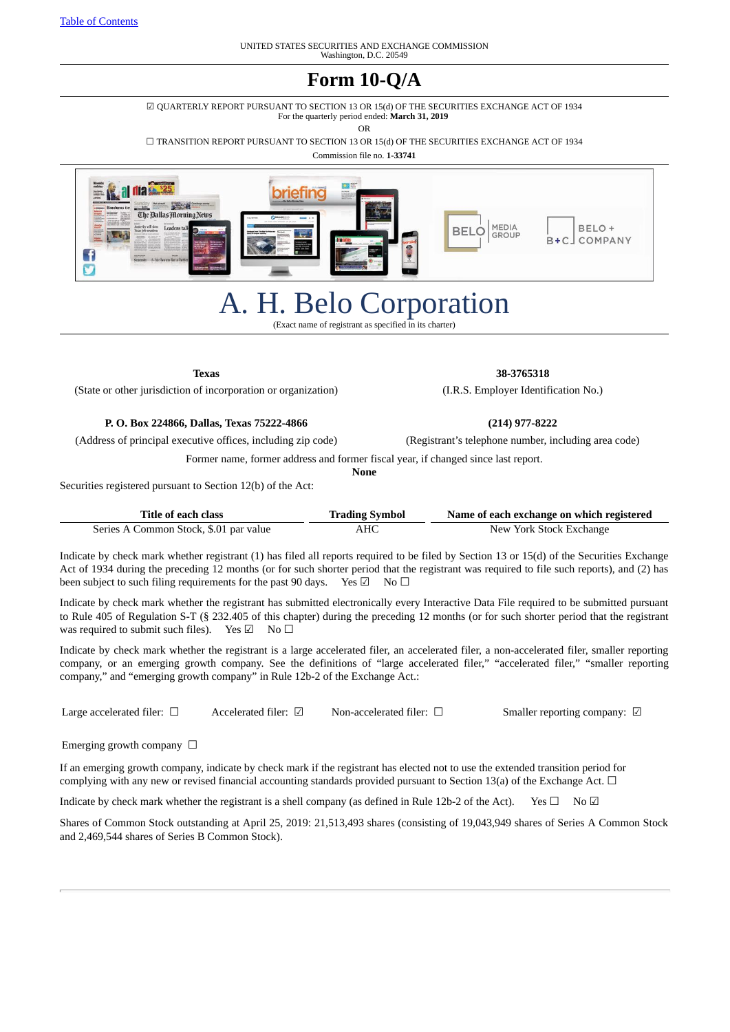## **Form 10-Q/A**

☑ QUARTERLY REPORT PURSUANT TO SECTION 13 OR 15(d) OF THE SECURITIES EXCHANGE ACT OF 1934 For the quarterly period ended: **March 31, 2019**

OR

☐ TRANSITION REPORT PURSUANT TO SECTION 13 OR 15(d) OF THE SECURITIES EXCHANGE ACT OF 1934

Commission file no. **1-33741**



# A. H. Belo Corporation

(Exact name of registrant as specified in its charter)

(State or other jurisdiction of incorporation or organization) (I.R.S. Employer Identification No.)

**P. O. Box 224866, Dallas, Texas 75222-4866 (214) 977-8222**

(Address of principal executive offices, including zip code) (Registrant's telephone number, including area code)

Former name, former address and former fiscal year, if changed since last report.

**None**

Securities registered pursuant to Section 12(b) of the Act:

| Title of each class                    | <b>Trading Symbol</b> | Name of each exchange on which registered |  |  |  |  |
|----------------------------------------|-----------------------|-------------------------------------------|--|--|--|--|
| Series A Common Stock, \$.01 par value | AHC                   | New York Stock Exchange                   |  |  |  |  |

Indicate by check mark whether registrant (1) has filed all reports required to be filed by Section 13 or 15(d) of the Securities Exchange Act of 1934 during the preceding 12 months (or for such shorter period that the registrant was required to file such reports), and (2) has been subject to such filing requirements for the past 90 days. Yes ⊠ No □

Indicate by check mark whether the registrant has submitted electronically every Interactive Data File required to be submitted pursuant to Rule 405 of Regulation S-T (§ 232.405 of this chapter) during the preceding 12 months (or for such shorter period that the registrant was required to submit such files). Yes  $\Box$  No  $\Box$ 

Indicate by check mark whether the registrant is a large accelerated filer, an accelerated filer, a non-accelerated filer, smaller reporting company, or an emerging growth company. See the definitions of "large accelerated filer," "accelerated filer," "smaller reporting company," and "emerging growth company" in Rule 12b-2 of the Exchange Act.:

Large accelerated filer: □ Accelerated filer: □ Non-accelerated filer: □ Smaller reporting company: □

Emerging growth company  $\Box$ 

If an emerging growth company, indicate by check mark if the registrant has elected not to use the extended transition period for complying with any new or revised financial accounting standards provided pursuant to Section 13(a) of the Exchange Act.  $\Box$ 

Indicate by check mark whether the registrant is a shell company (as defined in Rule 12b-2 of the Act). Yes  $\Box$  No  $\Box$ 

Shares of Common Stock outstanding at April 25, 2019: 21,513,493 shares (consisting of 19,043,949 shares of Series A Common Stock and 2,469,544 shares of Series B Common Stock).

**Texas 38-3765318**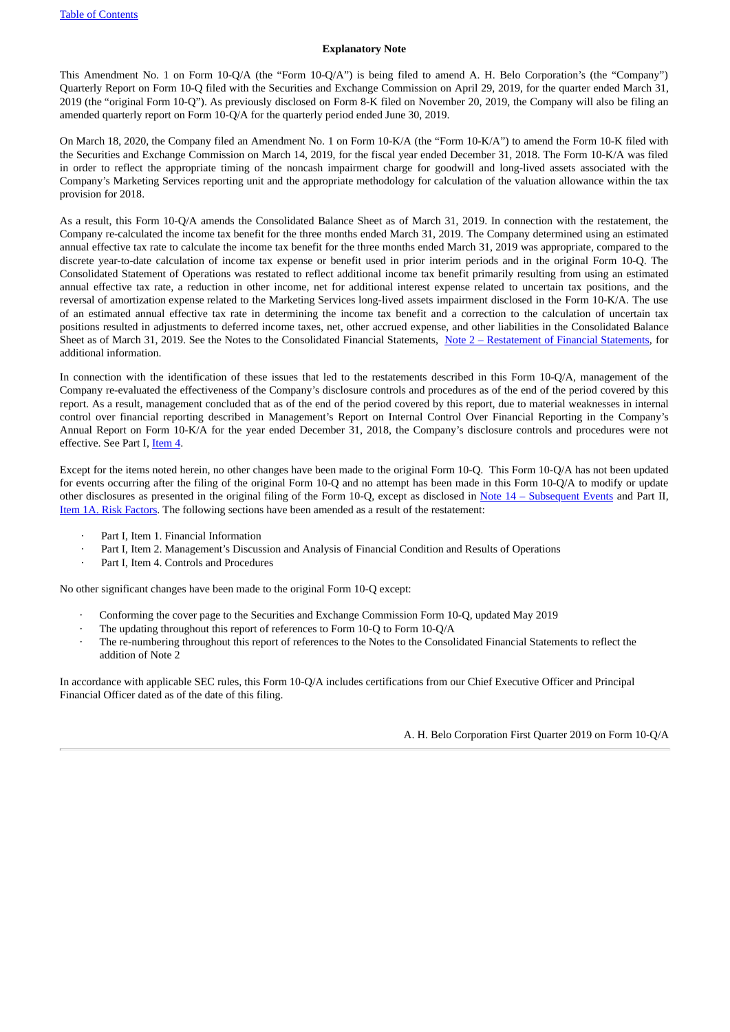#### **Explanatory Note**

This Amendment No. 1 on Form 10-Q/A (the "Form 10-Q/A") is being filed to amend A. H. Belo Corporation's (the "Company") Quarterly Report on Form 10-Q filed with the Securities and Exchange Commission on April 29, 2019, for the quarter ended March 31, 2019 (the "original Form 10-Q"). As previously disclosed on Form 8-K filed on November 20, 2019, the Company will also be filing an amended quarterly report on Form 10-Q/A for the quarterly period ended June 30, 2019.

On March 18, 2020, the Company filed an Amendment No. 1 on Form 10-K/A (the "Form 10-K/A") to amend the Form 10-K filed with the Securities and Exchange Commission on March 14, 2019, for the fiscal year ended December 31, 2018. The Form 10-K/A was filed in order to reflect the appropriate timing of the noncash impairment charge for goodwill and long-lived assets associated with the Company's Marketing Services reporting unit and the appropriate methodology for calculation of the valuation allowance within the tax provision for 2018.

As a result, this Form 10-Q/A amends the Consolidated Balance Sheet as of March 31, 2019. In connection with the restatement, the Company re-calculated the income tax benefit for the three months ended March 31, 2019. The Company determined using an estimated annual effective tax rate to calculate the income tax benefit for the three months ended March 31, 2019 was appropriate, compared to the discrete year-to-date calculation of income tax expense or benefit used in prior interim periods and in the original Form 10-Q. The Consolidated Statement of Operations was restated to reflect additional income tax benefit primarily resulting from using an estimated annual effective tax rate, a reduction in other income, net for additional interest expense related to uncertain tax positions, and the reversal of amortization expense related to the Marketing Services long-lived assets impairment disclosed in the Form 10-K/A. The use of an estimated annual effective tax rate in determining the income tax benefit and a correction to the calculation of uncertain tax positions resulted in adjustments to deferred income taxes, net, other accrued expense, and other liabilities in the Consolidated Balance Sheet as of March 31, 2019. See the Notes to the Consolidated Financial Statements, Note 2 – [Restatement](#page-8-0) of Financial Statements, for additional information.

In connection with the identification of these issues that led to the restatements described in this Form 10-Q/A, management of the Company re-evaluated the effectiveness of the Company's disclosure controls and procedures as of the end of the period covered by this report. As a result, management concluded that as of the end of the period covered by this report, due to material weaknesses in internal control over financial reporting described in Management's Report on Internal Control Over Financial Reporting in the Company's Annual Report on Form 10-K/A for the year ended December 31, 2018, the Company's disclosure controls and procedures were not effective. See Part I, [Item](#page-26-0) 4.

Except for the items noted herein, no other changes have been made to the original Form 10-Q. This Form 10-Q/A has not been updated for events occurring after the filing of the original Form 10-Q and no attempt has been made in this Form 10-Q/A to modify or update other disclosures as presented in the original filing of the Form 10-Q, except as disclosed in Note 14 - [Subsequent](#page-17-0) Events and Part II, Item 1A. Risk [Factors](#page-28-0). The following sections have been amended as a result of the restatement:

- Part I, Item 1. Financial Information
- · Part I, Item 2. Management's Discussion and Analysis of Financial Condition and Results of Operations
- Part I, Item 4. Controls and Procedures

No other significant changes have been made to the original Form 10-Q except:

- · Conforming the cover page to the Securities and Exchange Commission Form 10-Q, updated May 2019
- The updating throughout this report of references to Form 10-Q to Form 10-Q/A
- The re-numbering throughout this report of references to the Notes to the Consolidated Financial Statements to reflect the addition of Note 2

In accordance with applicable SEC rules, this Form 10-Q/A includes certifications from our Chief Executive Officer and Principal Financial Officer dated as of the date of this filing.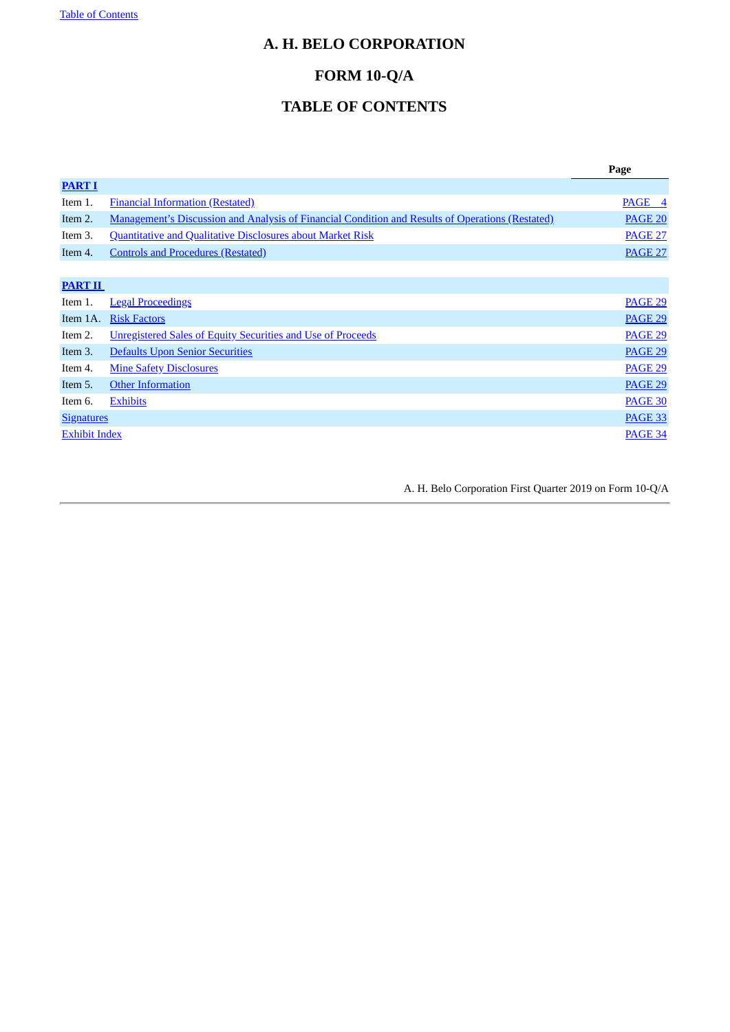## <span id="page-2-0"></span>**A. H. BELO CORPORATION**

## **FORM 10-Q/A**

## **TABLE OF CONTENTS**

|                      |                                                                                                         | Page           |
|----------------------|---------------------------------------------------------------------------------------------------------|----------------|
| <b>PART I</b>        |                                                                                                         |                |
| Item 1.              | <b>Financial Information (Restated)</b>                                                                 | PAGE 4         |
| Item 2.              | <b>Management's Discussion and Analysis of Financial Condition and Results of Operations (Restated)</b> | <b>PAGE 20</b> |
| Item 3.              | <b>Quantitative and Qualitative Disclosures about Market Risk</b>                                       | <b>PAGE 27</b> |
| Item 4.              | <b>Controls and Procedures (Restated)</b>                                                               | <b>PAGE 27</b> |
|                      |                                                                                                         |                |
| <b>PART II</b>       |                                                                                                         |                |
| Item 1.              | <b>Legal Proceedings</b>                                                                                | <b>PAGE 29</b> |
| Item 1A.             | <b>Risk Factors</b>                                                                                     | <b>PAGE 29</b> |
| Item 2.              | Unregistered Sales of Equity Securities and Use of Proceeds                                             | <b>PAGE 29</b> |
| Item 3.              | <b>Defaults Upon Senior Securities</b>                                                                  | <b>PAGE 29</b> |
| Item 4.              | <b>Mine Safety Disclosures</b>                                                                          | <b>PAGE 29</b> |
| Item 5.              | <b>Other Information</b>                                                                                | <b>PAGE 29</b> |
| Item 6.              | <b>Exhibits</b>                                                                                         | <b>PAGE 30</b> |
| <b>Signatures</b>    |                                                                                                         | PAGE 33        |
| <b>Exhibit Index</b> |                                                                                                         | <b>PAGE 34</b> |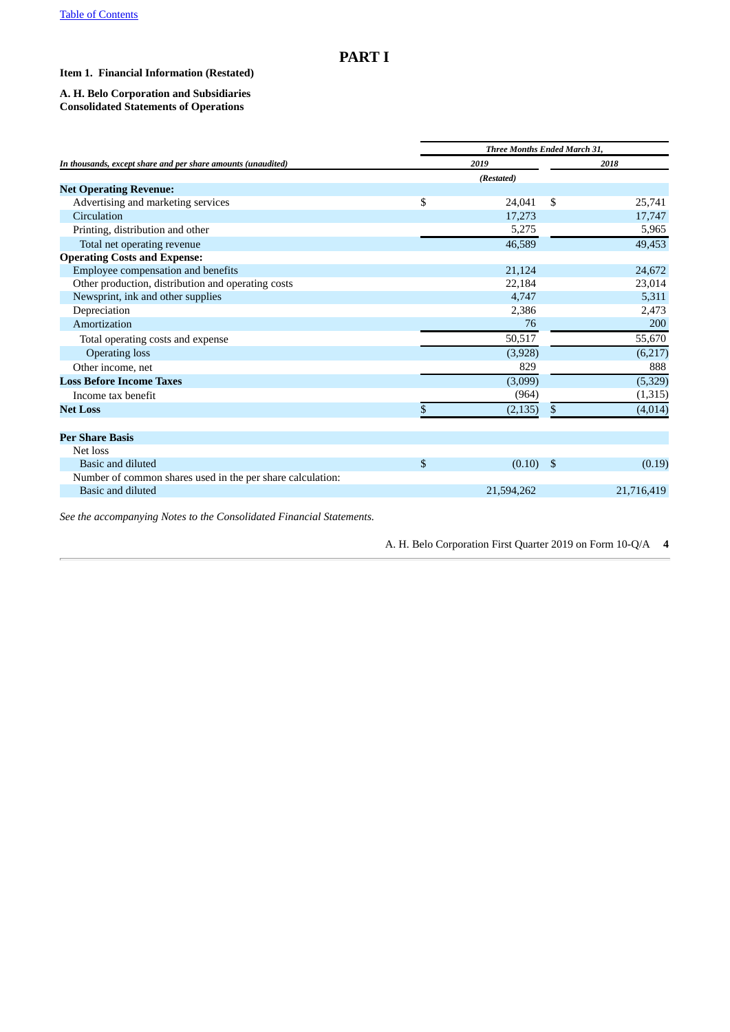## <span id="page-3-0"></span>**PART I**

#### <span id="page-3-1"></span>**Item 1. Financial Information (Restated)**

#### **A. H. Belo Corporation and Subsidiaries Consolidated Statements of Operations**

|                                                              | Three Months Ended March 31, |            |     |            |  |  |
|--------------------------------------------------------------|------------------------------|------------|-----|------------|--|--|
| In thousands, except share and per share amounts (unaudited) | 2019                         |            |     | 2018       |  |  |
|                                                              |                              | (Restated) |     |            |  |  |
| <b>Net Operating Revenue:</b>                                |                              |            |     |            |  |  |
| Advertising and marketing services                           | \$                           | 24,041     | \$  | 25,741     |  |  |
| Circulation                                                  |                              | 17,273     |     | 17,747     |  |  |
| Printing, distribution and other                             |                              | 5,275      |     | 5,965      |  |  |
| Total net operating revenue                                  |                              | 46,589     |     | 49,453     |  |  |
| <b>Operating Costs and Expense:</b>                          |                              |            |     |            |  |  |
| Employee compensation and benefits                           |                              | 21,124     |     | 24,672     |  |  |
| Other production, distribution and operating costs           |                              | 22,184     |     | 23,014     |  |  |
| Newsprint, ink and other supplies                            |                              | 4,747      |     | 5,311      |  |  |
| Depreciation                                                 |                              | 2,386      |     | 2,473      |  |  |
| Amortization                                                 |                              | 76         |     | 200        |  |  |
| Total operating costs and expense                            |                              | 50,517     |     | 55,670     |  |  |
| <b>Operating loss</b>                                        |                              | (3,928)    |     | (6,217)    |  |  |
| Other income, net                                            |                              | 829        |     | 888        |  |  |
| <b>Loss Before Income Taxes</b>                              |                              | (3,099)    |     | (5,329)    |  |  |
| Income tax benefit                                           |                              | (964)      |     | (1, 315)   |  |  |
| <b>Net Loss</b>                                              | \$                           | (2, 135)   | \$  | (4,014)    |  |  |
| <b>Per Share Basis</b>                                       |                              |            |     |            |  |  |
| Net loss                                                     |                              |            |     |            |  |  |
| Basic and diluted                                            | \$                           | (0.10)     | -\$ | (0.19)     |  |  |
| Number of common shares used in the per share calculation:   |                              |            |     |            |  |  |
| Basic and diluted                                            |                              | 21,594,262 |     | 21,716,419 |  |  |
|                                                              |                              |            |     |            |  |  |

*See the accompanying Notes to the Consolidated Financial Statements.*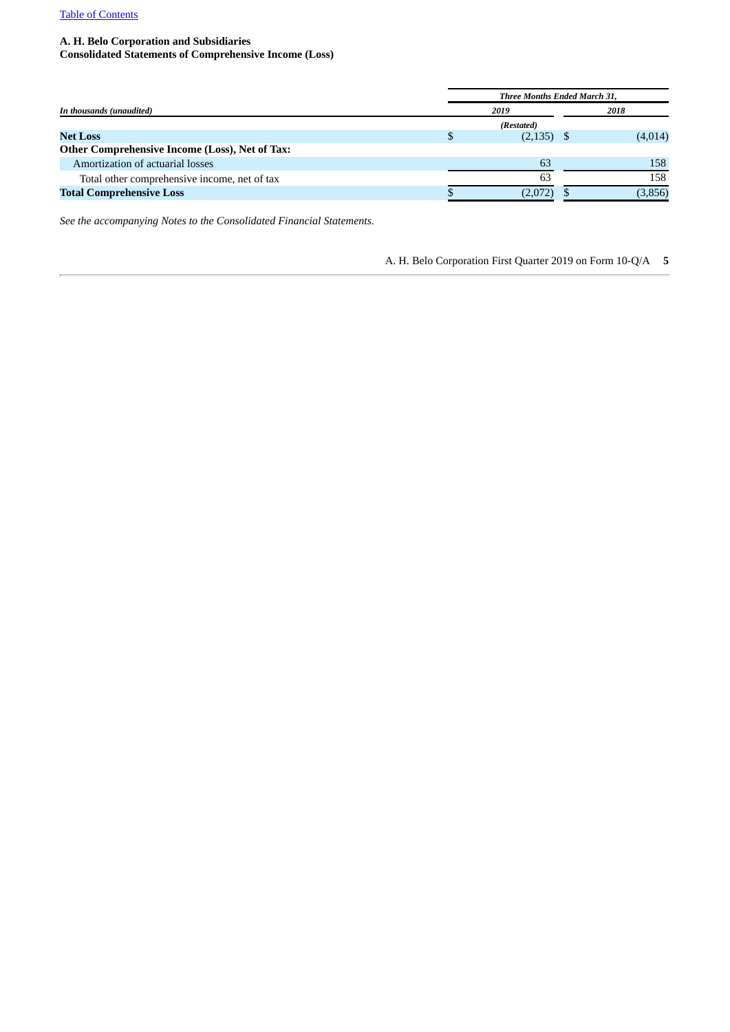#### **A. H. Belo Corporation and Subsidiaries**

**Consolidated Statements of Comprehensive Income (Loss)**

|                                                | <b>Three Months Ended March 31,</b> |              |  |         |  |
|------------------------------------------------|-------------------------------------|--------------|--|---------|--|
| In thousands (unaudited)                       | 2019                                |              |  | 2018    |  |
|                                                |                                     | (Restated)   |  |         |  |
| <b>Net Loss</b>                                |                                     | $(2,135)$ \$ |  | (4,014) |  |
| Other Comprehensive Income (Loss), Net of Tax: |                                     |              |  |         |  |
| Amortization of actuarial losses               |                                     | 63           |  | 158     |  |
| Total other comprehensive income, net of tax   |                                     | 63           |  | 158     |  |
| <b>Total Comprehensive Loss</b>                |                                     | (2,072)      |  | (3,856) |  |

*See the accompanying Notes to the Consolidated Financial Statements.*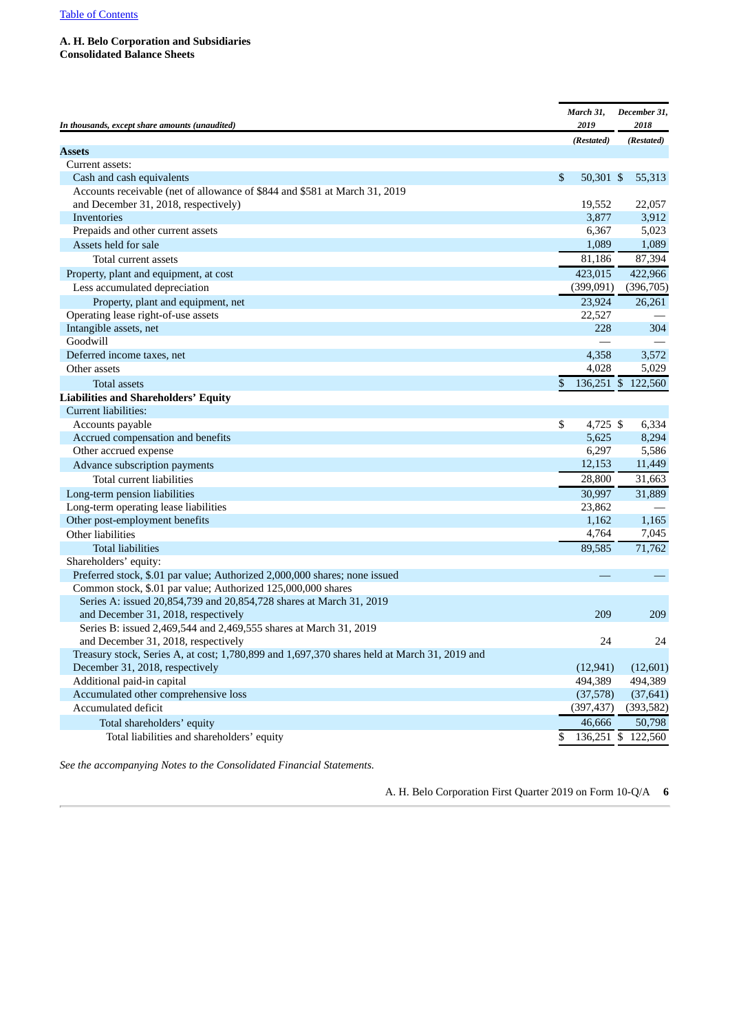#### **A. H. Belo Corporation and Subsidiaries Consolidated Balance Sheets**

| In thousands, except share amounts (unaudited)                                               | March 31,<br>2019 | December 31,<br>2018 |
|----------------------------------------------------------------------------------------------|-------------------|----------------------|
|                                                                                              | (Restated)        | (Restated)           |
| Assets                                                                                       |                   |                      |
| Current assets:                                                                              |                   |                      |
| Cash and cash equivalents                                                                    | \$<br>50,301 \$   | 55,313               |
| Accounts receivable (net of allowance of \$844 and \$581 at March 31, 2019                   | 19,552            | 22,057               |
| and December 31, 2018, respectively)<br>Inventories                                          | 3,877             | 3,912                |
| Prepaids and other current assets                                                            | 6,367             | 5,023                |
| Assets held for sale                                                                         | 1,089             | 1,089                |
| Total current assets                                                                         | 81,186            | 87,394               |
| Property, plant and equipment, at cost                                                       | 423,015           | 422,966              |
| Less accumulated depreciation                                                                | (399, 091)        | (396, 705)           |
| Property, plant and equipment, net                                                           | 23,924            | 26,261               |
| Operating lease right-of-use assets                                                          | 22,527            |                      |
| Intangible assets, net                                                                       | 228               | 304                  |
| Goodwill                                                                                     |                   |                      |
| Deferred income taxes, net                                                                   | 4,358             | 3,572                |
| Other assets                                                                                 | 4,028             | 5,029                |
| Total assets                                                                                 | \$                | 136,251 \$ 122,560   |
| <b>Liabilities and Shareholders' Equity</b>                                                  |                   |                      |
| Current liabilities:                                                                         |                   |                      |
| Accounts payable                                                                             | \$<br>4,725 \$    | 6,334                |
| Accrued compensation and benefits                                                            | 5,625             | 8,294                |
| Other accrued expense                                                                        | 6,297             | 5,586                |
| Advance subscription payments                                                                | 12,153            | 11,449               |
| Total current liabilities                                                                    | 28,800            | 31,663               |
| Long-term pension liabilities                                                                | 30,997            | 31,889               |
| Long-term operating lease liabilities                                                        | 23,862            |                      |
| Other post-employment benefits                                                               | 1,162             | 1,165                |
| Other liabilities                                                                            | 4,764             | 7,045                |
| <b>Total liabilities</b>                                                                     | 89,585            | 71,762               |
| Shareholders' equity:                                                                        |                   |                      |
| Preferred stock, \$.01 par value; Authorized 2,000,000 shares; none issued                   |                   |                      |
| Common stock, \$.01 par value; Authorized 125,000,000 shares                                 |                   |                      |
| Series A: issued 20,854,739 and 20,854,728 shares at March 31, 2019                          |                   |                      |
| and December 31, 2018, respectively                                                          | 209               | 209                  |
| Series B: issued 2,469,544 and 2,469,555 shares at March 31, 2019                            |                   |                      |
| and December 31, 2018, respectively                                                          | 24                | 24                   |
| Treasury stock, Series A, at cost; 1,780,899 and 1,697,370 shares held at March 31, 2019 and |                   |                      |
| December 31, 2018, respectively                                                              | (12, 941)         | (12,601)             |
| Additional paid-in capital                                                                   | 494,389           | 494,389              |
| Accumulated other comprehensive loss                                                         | (37,578)          | (37, 641)            |
| Accumulated deficit                                                                          | (397, 437)        | (393, 582)           |
| Total shareholders' equity                                                                   | 46,666            | 50,798               |
| Total liabilities and shareholders' equity                                                   | \$                | 136,251 \$ 122,560   |

*See the accompanying Notes to the Consolidated Financial Statements.*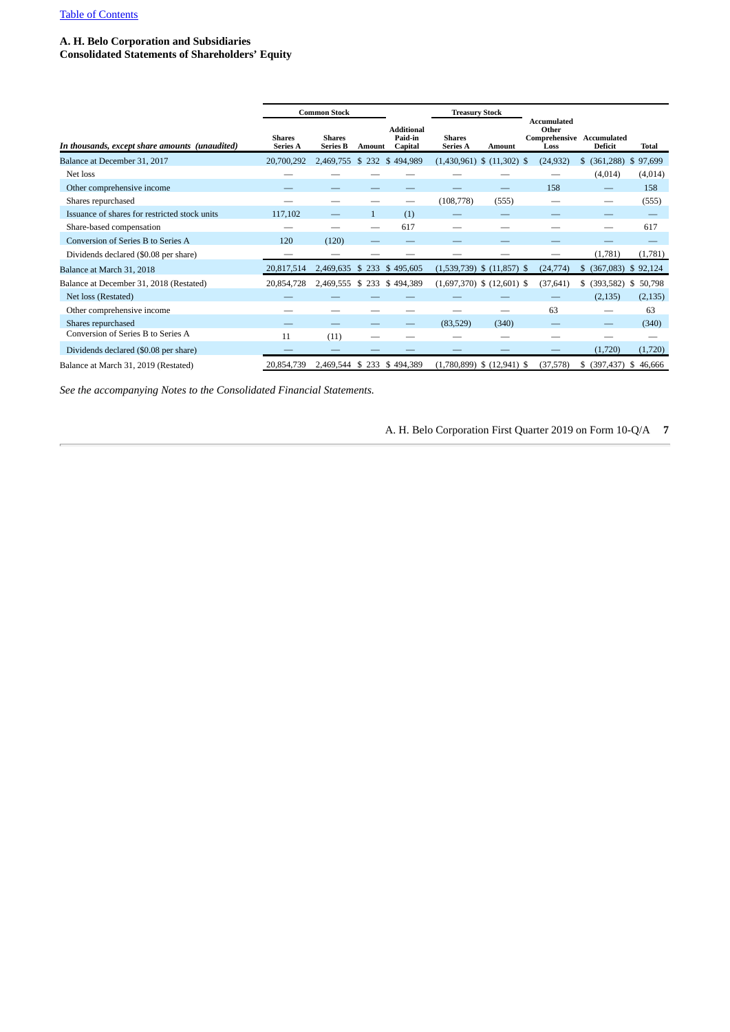#### **A. H. Belo Corporation and Subsidiaries**

**Consolidated Statements of Shareholders' Equity**

|                                                |                                  | <b>Common Stock</b>              |              |                                         | <b>Treasury Stock</b>            |                                |                                                           |                         |               |  |
|------------------------------------------------|----------------------------------|----------------------------------|--------------|-----------------------------------------|----------------------------------|--------------------------------|-----------------------------------------------------------|-------------------------|---------------|--|
| In thousands, except share amounts (unaudited) | <b>Shares</b><br><b>Series A</b> | <b>Shares</b><br><b>Series B</b> | Amount       | <b>Additional</b><br>Paid-in<br>Capital | <b>Shares</b><br><b>Series A</b> | <b>Amount</b>                  | Accumulated<br>Other<br>Comprehensive Accumulated<br>Loss | Deficit                 | Total         |  |
| Balance at December 31, 2017                   | 20,700,292                       | 2,469,755 \$ 232 \$ 494,989      |              |                                         |                                  | $(1,430,961)$ \$ $(11,302)$ \$ | (24, 932)                                                 | (361, 288)<br>S.        | 97,699<br>\$. |  |
| Net loss                                       |                                  |                                  |              |                                         |                                  |                                |                                                           | (4,014)                 | (4,014)       |  |
| Other comprehensive income                     |                                  |                                  |              |                                         |                                  |                                | 158                                                       |                         | 158           |  |
| Shares repurchased                             |                                  |                                  |              |                                         | (108,778)                        | (555)                          |                                                           |                         | (555)         |  |
| Issuance of shares for restricted stock units  | 117,102                          |                                  | $\mathbf{1}$ | (1)                                     |                                  |                                |                                                           |                         |               |  |
| Share-based compensation                       |                                  |                                  |              | 617                                     |                                  |                                |                                                           |                         | 617           |  |
| Conversion of Series B to Series A             | 120                              | (120)                            |              |                                         |                                  |                                |                                                           |                         |               |  |
| Dividends declared (\$0.08 per share)          | --                               |                                  |              |                                         |                                  |                                |                                                           | (1,781)                 | (1,781)       |  |
| Balance at March 31, 2018                      | 20,817,514                       | 2,469,635 \$ 233                 |              | \$495,605                               |                                  | $(1,539,739)$ \$ $(11,857)$ \$ | (24, 774)                                                 | (367,083)<br>S.         | \$92,124      |  |
| Balance at December 31, 2018 (Restated)        | 20,854,728                       | 2,469,555 \$ 233 \$ 494,389      |              |                                         |                                  | $(1,697,370)$ \$ $(12,601)$ \$ | (37, 641)                                                 | (393, 582)<br>\$        | \$<br>50,798  |  |
| Net loss (Restated)                            |                                  |                                  |              |                                         |                                  |                                |                                                           | (2, 135)                | (2, 135)      |  |
| Other comprehensive income                     |                                  |                                  |              |                                         |                                  |                                | 63                                                        |                         | 63            |  |
| Shares repurchased                             |                                  |                                  |              |                                         | (83, 529)                        | (340)                          |                                                           | —                       | (340)         |  |
| Conversion of Series B to Series A             | 11                               | (11)                             |              |                                         |                                  |                                |                                                           |                         |               |  |
| Dividends declared (\$0.08 per share)          |                                  |                                  |              |                                         |                                  |                                |                                                           | (1,720)                 | (1,720)       |  |
| Balance at March 31, 2019 (Restated)           | 20,854,739                       | 2,469,544 \$ 233 \$ 494,389      |              |                                         |                                  | $(1,780,899)$ \$ $(12,941)$ \$ | (37,578)                                                  | $$$ (397,437) \$ 46,666 |               |  |

*See the accompanying Notes to the Consolidated Financial Statements.*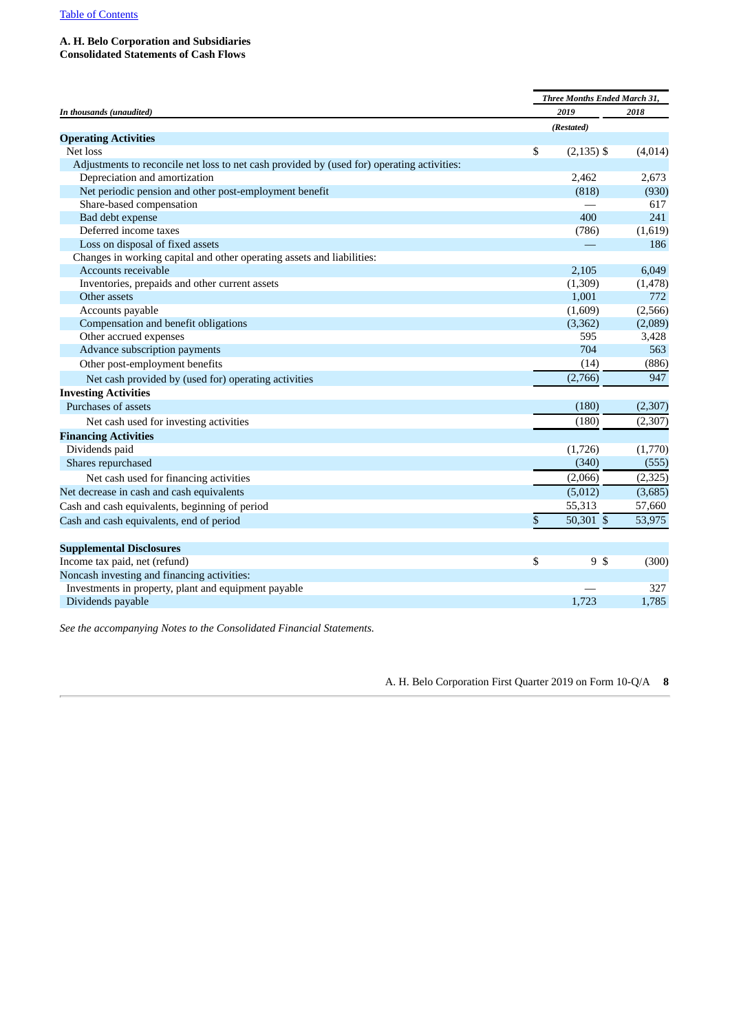#### **A. H. Belo Corporation and Subsidiaries**

**Consolidated Statements of Cash Flows**

| In thousands (unaudited)                                                                   |    | Three Months Ended March 31, |          |  |  |  |
|--------------------------------------------------------------------------------------------|----|------------------------------|----------|--|--|--|
|                                                                                            |    | 2019                         | 2018     |  |  |  |
|                                                                                            |    | (Restated)                   |          |  |  |  |
| <b>Operating Activities</b>                                                                |    |                              |          |  |  |  |
| Net loss                                                                                   | \$ | $(2, 135)$ \$                | (4,014)  |  |  |  |
| Adjustments to reconcile net loss to net cash provided by (used for) operating activities: |    |                              |          |  |  |  |
| Depreciation and amortization                                                              |    | 2.462                        | 2,673    |  |  |  |
| Net periodic pension and other post-employment benefit                                     |    | (818)                        | (930)    |  |  |  |
| Share-based compensation                                                                   |    |                              | 617      |  |  |  |
| Bad debt expense                                                                           |    | 400                          | 241      |  |  |  |
| Deferred income taxes                                                                      |    | (786)                        | (1,619)  |  |  |  |
| Loss on disposal of fixed assets                                                           |    |                              | 186      |  |  |  |
| Changes in working capital and other operating assets and liabilities:                     |    |                              |          |  |  |  |
| Accounts receivable                                                                        |    | 2,105                        | 6,049    |  |  |  |
| Inventories, prepaids and other current assets                                             |    | (1,309)                      | (1, 478) |  |  |  |
| Other assets                                                                               |    | 1,001                        | 772      |  |  |  |
| Accounts payable                                                                           |    | (1,609)                      | (2,566)  |  |  |  |
| Compensation and benefit obligations                                                       |    | (3, 362)                     | (2,089)  |  |  |  |
| Other accrued expenses                                                                     |    | 595                          | 3,428    |  |  |  |
| Advance subscription payments                                                              |    | 704                          | 563      |  |  |  |
| Other post-employment benefits                                                             |    | (14)                         | (886)    |  |  |  |
| Net cash provided by (used for) operating activities                                       |    | (2,766)                      | 947      |  |  |  |
| <b>Investing Activities</b>                                                                |    |                              |          |  |  |  |
| Purchases of assets                                                                        |    | (180)                        | (2,307)  |  |  |  |
| Net cash used for investing activities                                                     |    | (180)                        | (2, 307) |  |  |  |
| <b>Financing Activities</b>                                                                |    |                              |          |  |  |  |
| Dividends paid                                                                             |    | (1,726)                      | (1,770)  |  |  |  |
| Shares repurchased                                                                         |    | (340)                        | (555)    |  |  |  |
| Net cash used for financing activities                                                     |    | (2,066)                      | (2, 325) |  |  |  |
| Net decrease in cash and cash equivalents                                                  |    | (5,012)                      | (3,685)  |  |  |  |
| Cash and cash equivalents, beginning of period                                             |    | 55,313                       | 57,660   |  |  |  |
| Cash and cash equivalents, end of period                                                   | \$ | 50,301 \$                    | 53,975   |  |  |  |
| <b>Supplemental Disclosures</b>                                                            |    |                              |          |  |  |  |
| Income tax paid, net (refund)                                                              | \$ | 9 \$                         | (300)    |  |  |  |
| Noncash investing and financing activities:                                                |    |                              |          |  |  |  |
| Investments in property, plant and equipment payable                                       |    |                              | 327      |  |  |  |
| Dividends payable                                                                          |    | 1,723                        | 1,785    |  |  |  |

*See the accompanying Notes to the Consolidated Financial Statements.*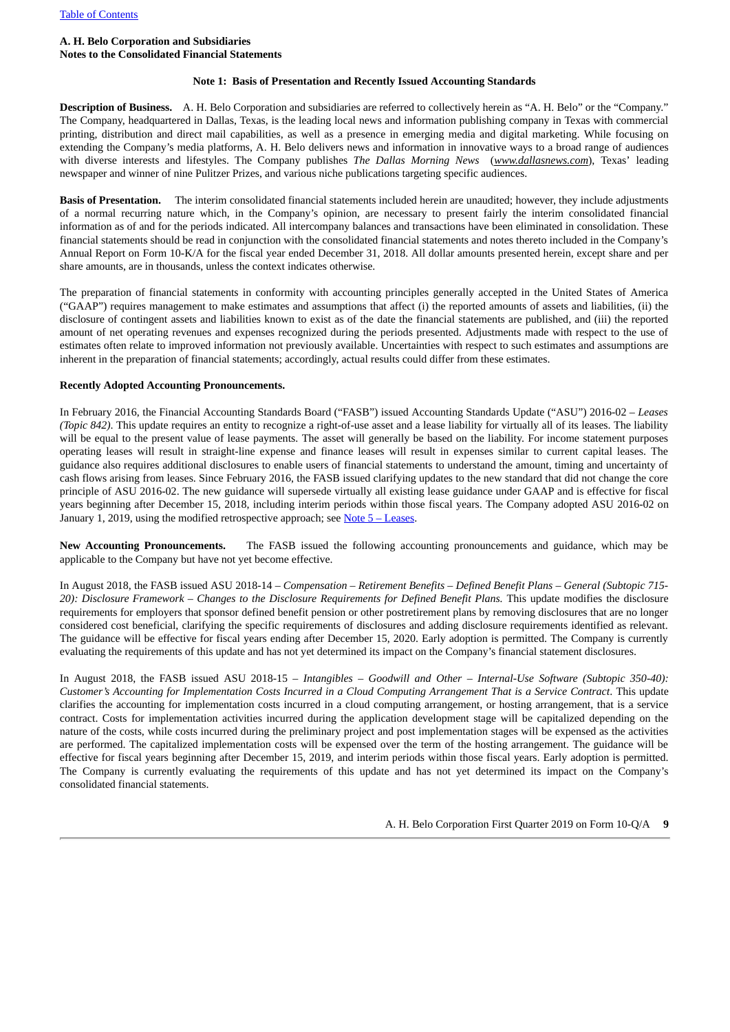#### **A. H. Belo Corporation and Subsidiaries Notes to the Consolidated Financial Statements**

#### **Note 1: Basis of Presentation and Recently Issued Accounting Standards**

**Description of Business.** A. H. Belo Corporation and subsidiaries are referred to collectively herein as "A. H. Belo" or the "Company." The Company, headquartered in Dallas, Texas, is the leading local news and information publishing company in Texas with commercial printing, distribution and direct mail capabilities, as well as a presence in emerging media and digital marketing. While focusing on extending the Company's media platforms, A. H. Belo delivers news and information in innovative ways to a broad range of audiences with diverse interests and lifestyles. The Company publishes *The Dallas Morning News* (*www.dallasnews.com*), Texas' leading newspaper and winner of nine Pulitzer Prizes, and various niche publications targeting specific audiences.

**Basis of Presentation.** The interim consolidated financial statements included herein are unaudited; however, they include adjustments of a normal recurring nature which, in the Company's opinion, are necessary to present fairly the interim consolidated financial information as of and for the periods indicated. All intercompany balances and transactions have been eliminated in consolidation. These financial statements should be read in conjunction with the consolidated financial statements and notes thereto included in the Company's Annual Report on Form 10-K/A for the fiscal year ended December 31, 2018. All dollar amounts presented herein, except share and per share amounts, are in thousands, unless the context indicates otherwise.

The preparation of financial statements in conformity with accounting principles generally accepted in the United States of America ("GAAP") requires management to make estimates and assumptions that affect (i) the reported amounts of assets and liabilities, (ii) the disclosure of contingent assets and liabilities known to exist as of the date the financial statements are published, and (iii) the reported amount of net operating revenues and expenses recognized during the periods presented. Adjustments made with respect to the use of estimates often relate to improved information not previously available. Uncertainties with respect to such estimates and assumptions are inherent in the preparation of financial statements; accordingly, actual results could differ from these estimates.

#### **Recently Adopted Accounting Pronouncements.**

In February 2016, the Financial Accounting Standards Board ("FASB") issued Accounting Standards Update ("ASU") 2016-02 – *Leases (Topic 842)*. This update requires an entity to recognize a right-of-use asset and a lease liability for virtually all of its leases. The liability will be equal to the present value of lease payments. The asset will generally be based on the liability. For income statement purposes operating leases will result in straight-line expense and finance leases will result in expenses similar to current capital leases. The guidance also requires additional disclosures to enable users of financial statements to understand the amount, timing and uncertainty of cash flows arising from leases. Since February 2016, the FASB issued clarifying updates to the new standard that did not change the core principle of ASU 2016-02. The new guidance will supersede virtually all existing lease guidance under GAAP and is effective for fiscal years beginning after December 15, 2018, including interim periods within those fiscal years. The Company adopted ASU 2016-02 on January 1, 2019, using the modified retrospective approach; see  $Note 5 - Leases.$  $Note 5 - Leases.$  $Note 5 - Leases.$ </u>

**New Accounting Pronouncements.** The FASB issued the following accounting pronouncements and guidance, which may be applicable to the Company but have not yet become effective.

In August 2018, the FASB issued ASU 2018-14 – *Compensation – Retirement Benefits – Defined Benefit Plans – General (Subtopic 715- 20): Disclosure Framework* – *Changes to the Disclosure Requirements for Defined Benefit Plans.* This update modifies the disclosure requirements for employers that sponsor defined benefit pension or other postretirement plans by removing disclosures that are no longer considered cost beneficial, clarifying the specific requirements of disclosures and adding disclosure requirements identified as relevant. The guidance will be effective for fiscal years ending after December 15, 2020. Early adoption is permitted. The Company is currently evaluating the requirements of this update and has not yet determined its impact on the Company's financial statement disclosures.

<span id="page-8-0"></span>In August 2018, the FASB issued ASU 2018-15 – *Intangibles – Goodwill and Other – Internal-Use Software (Subtopic 350-40):* Customer's Accounting for Implementation Costs Incurred in a Cloud Computing Arrangement That is a Service Contract. This update clarifies the accounting for implementation costs incurred in a cloud computing arrangement, or hosting arrangement, that is a service contract. Costs for implementation activities incurred during the application development stage will be capitalized depending on the nature of the costs, while costs incurred during the preliminary project and post implementation stages will be expensed as the activities are performed. The capitalized implementation costs will be expensed over the term of the hosting arrangement. The guidance will be effective for fiscal years beginning after December 15, 2019, and interim periods within those fiscal years. Early adoption is permitted. The Company is currently evaluating the requirements of this update and has not yet determined its impact on the Company's consolidated financial statements.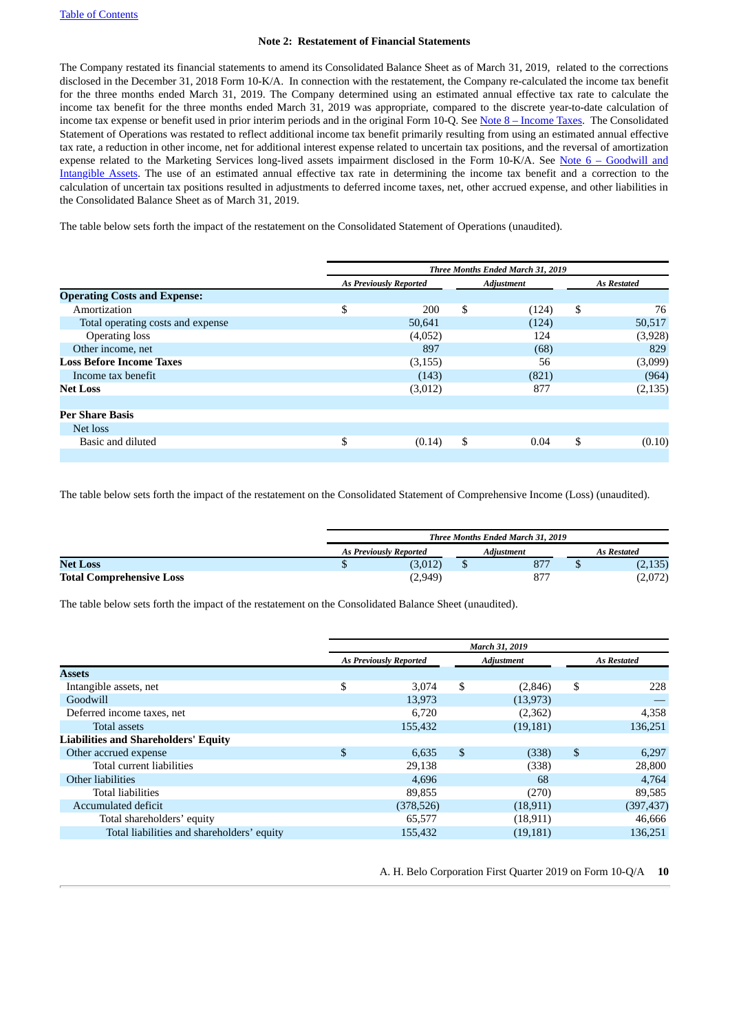#### **Note 2: Restatement of Financial Statements**

The Company restated its financial statements to amend its Consolidated Balance Sheet as of March 31, 2019, related to the corrections disclosed in the December 31, 2018 Form 10-K/A. In connection with the restatement, the Company re-calculated the income tax benefit for the three months ended March 31, 2019. The Company determined using an estimated annual effective tax rate to calculate the income tax benefit for the three months ended March 31, 2019 was appropriate, compared to the discrete year-to-date calculation of income tax expense or benefit used in prior interim periods and in the original Form 10-Q. See Note 8 – [Income](#page-15-0) Taxes. The Consolidated Statement of Operations was restated to reflect additional income tax benefit primarily resulting from using an estimated annual effective tax rate, a reduction in other income, net for additional interest expense related to uncertain tax positions, and the reversal of amortization expense related to the Marketing Services long-lived assets impairment disclosed in the Form 10-K/A. See Note 6 – Goodwill and Intangible Assets. The use of an estimated annual effective tax rate in [determining](#page-15-1) the income tax benefit and a correction to the calculation of uncertain tax positions resulted in adjustments to deferred income taxes, net, other accrued expense, and other liabilities in the Consolidated Balance Sheet as of March 31, 2019.

The table below sets forth the impact of the restatement on the Consolidated Statement of Operations (unaudited).

|                                     | Three Months Ended March 31, 2019 |    |                   |    |                    |  |
|-------------------------------------|-----------------------------------|----|-------------------|----|--------------------|--|
|                                     | <b>As Previously Reported</b>     |    | <b>Adjustment</b> |    | <b>As Restated</b> |  |
| <b>Operating Costs and Expense:</b> |                                   |    |                   |    |                    |  |
| Amortization                        | \$<br>200                         | \$ | (124)             | \$ | 76                 |  |
| Total operating costs and expense   | 50,641                            |    | (124)             |    | 50,517             |  |
| <b>Operating loss</b>               | (4,052)                           |    | 124               |    | (3,928)            |  |
| Other income, net                   | 897                               |    | (68)              |    | 829                |  |
| <b>Loss Before Income Taxes</b>     | (3, 155)                          |    | 56                |    | (3,099)            |  |
| Income tax benefit                  | (143)                             |    | (821)             |    | (964)              |  |
| <b>Net Loss</b>                     | (3,012)                           |    | 877               |    | (2, 135)           |  |
|                                     |                                   |    |                   |    |                    |  |
| <b>Per Share Basis</b>              |                                   |    |                   |    |                    |  |
| Net loss                            |                                   |    |                   |    |                    |  |
| Basic and diluted                   | \$<br>(0.14)                      | \$ | 0.04              | \$ | (0.10)             |  |
|                                     |                                   |    |                   |    |                    |  |

The table below sets forth the impact of the restatement on the Consolidated Statement of Comprehensive Income (Loss) (unaudited).

|                                 | <b>Three Months Ended March 31, 2019</b> |  |            |  |             |  |
|---------------------------------|------------------------------------------|--|------------|--|-------------|--|
|                                 | <b>As Previously Reported</b>            |  | Adiustment |  | As Restated |  |
| <b>Net Loss</b>                 | (3,012)                                  |  | 877        |  | (2, 135)    |  |
| <b>Total Comprehensive Loss</b> | (2,949)                                  |  | 877        |  | (2,072)     |  |

The table below sets forth the impact of the restatement on the Consolidated Balance Sheet (unaudited).

|                                             | March 31, 2019                |            |                   |           |                    |           |
|---------------------------------------------|-------------------------------|------------|-------------------|-----------|--------------------|-----------|
|                                             | <b>As Previously Reported</b> |            | <b>Adjustment</b> |           | <b>As Restated</b> |           |
| Assets                                      |                               |            |                   |           |                    |           |
| Intangible assets, net                      | \$                            | 3.074      | \$                | (2,846)   | \$                 | 228       |
| Goodwill                                    |                               | 13,973     |                   | (13, 973) |                    |           |
| Deferred income taxes, net                  |                               | 6,720      |                   | (2,362)   |                    | 4,358     |
| <b>Total assets</b>                         |                               | 155,432    |                   | (19, 181) |                    | 136,251   |
| <b>Liabilities and Shareholders' Equity</b> |                               |            |                   |           |                    |           |
| Other accrued expense                       | \$                            | 6,635      | \$                | (338)     | \$                 | 6,297     |
| Total current liabilities                   |                               | 29,138     |                   | (338)     |                    | 28,800    |
| Other liabilities                           |                               | 4,696      |                   | 68        |                    | 4,764     |
| Total liabilities                           |                               | 89,855     |                   | (270)     |                    | 89,585    |
| Accumulated deficit                         |                               | (378, 526) |                   | (18, 911) |                    | (397,437) |
| Total shareholders' equity                  |                               | 65,577     |                   | (18, 911) |                    | 46,666    |
| Total liabilities and shareholders' equity  |                               | 155.432    |                   | (19, 181) |                    | 136.251   |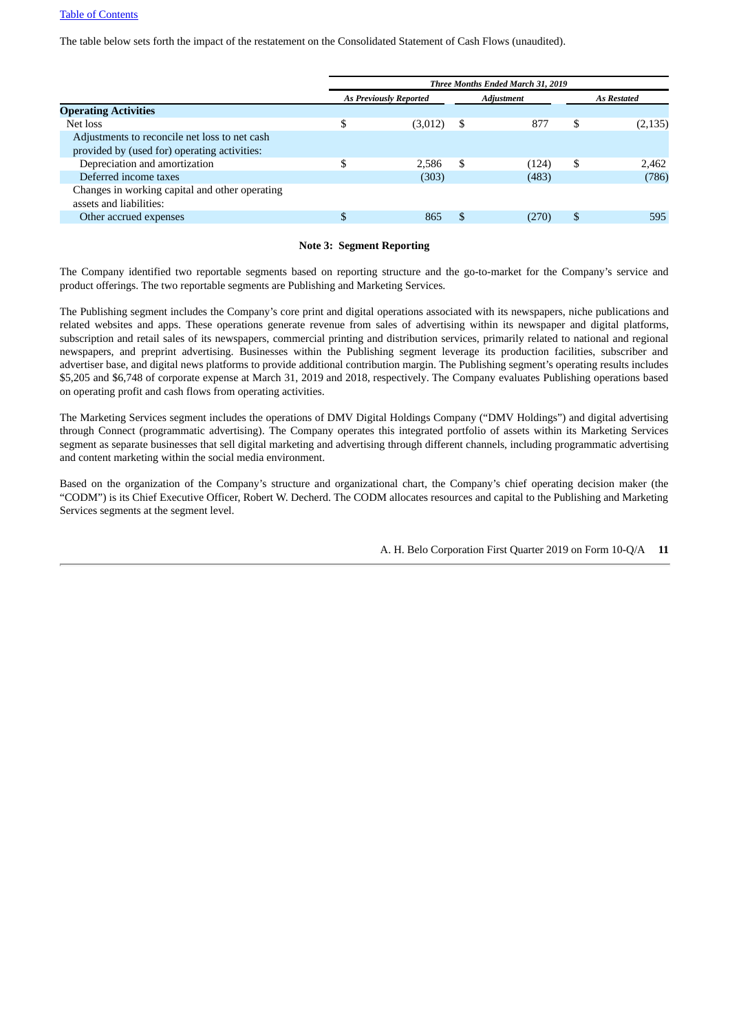The table below sets forth the impact of the restatement on the Consolidated Statement of Cash Flows (unaudited).

|                                                | Three Months Ended March 31, 2019 |                               |    |                   |     |                    |
|------------------------------------------------|-----------------------------------|-------------------------------|----|-------------------|-----|--------------------|
|                                                |                                   | <b>As Previously Reported</b> |    | <b>Adjustment</b> |     | <b>As Restated</b> |
| <b>Operating Activities</b>                    |                                   |                               |    |                   |     |                    |
| Net loss                                       | \$                                | (3,012)                       | S  | 877               | \$  | (2, 135)           |
| Adjustments to reconcile net loss to net cash  |                                   |                               |    |                   |     |                    |
| provided by (used for) operating activities:   |                                   |                               |    |                   |     |                    |
| Depreciation and amortization                  | S                                 | 2.586                         | -S | (124)             | S   | 2.462              |
| Deferred income taxes                          |                                   | (303)                         |    | (483)             |     | (786)              |
| Changes in working capital and other operating |                                   |                               |    |                   |     |                    |
| assets and liabilities:                        |                                   |                               |    |                   |     |                    |
| Other accrued expenses                         | S                                 | 865                           | S. | (270)             | \$. | 595                |
|                                                |                                   |                               |    |                   |     |                    |

#### **Note 3: Segment Reporting**

The Company identified two reportable segments based on reporting structure and the go-to-market for the Company's service and product offerings. The two reportable segments are Publishing and Marketing Services.

The Publishing segment includes the Company's core print and digital operations associated with its newspapers, niche publications and related websites and apps. These operations generate revenue from sales of advertising within its newspaper and digital platforms, subscription and retail sales of its newspapers, commercial printing and distribution services, primarily related to national and regional newspapers, and preprint advertising. Businesses within the Publishing segment leverage its production facilities, subscriber and advertiser base, and digital news platforms to provide additional contribution margin. The Publishing segment's operating results includes \$5,205 and \$6,748 of corporate expense at March 31, 2019 and 2018, respectively. The Company evaluates Publishing operations based on operating profit and cash flows from operating activities.

The Marketing Services segment includes the operations of DMV Digital Holdings Company ("DMV Holdings") and digital advertising through Connect (programmatic advertising). The Company operates this integrated portfolio of assets within its Marketing Services segment as separate businesses that sell digital marketing and advertising through different channels, including programmatic advertising and content marketing within the social media environment.

Based on the organization of the Company's structure and organizational chart, the Company's chief operating decision maker (the "CODM") is its Chief Executive Officer, Robert W. Decherd. The CODM allocates resources and capital to the Publishing and Marketing Services segments at the segment level.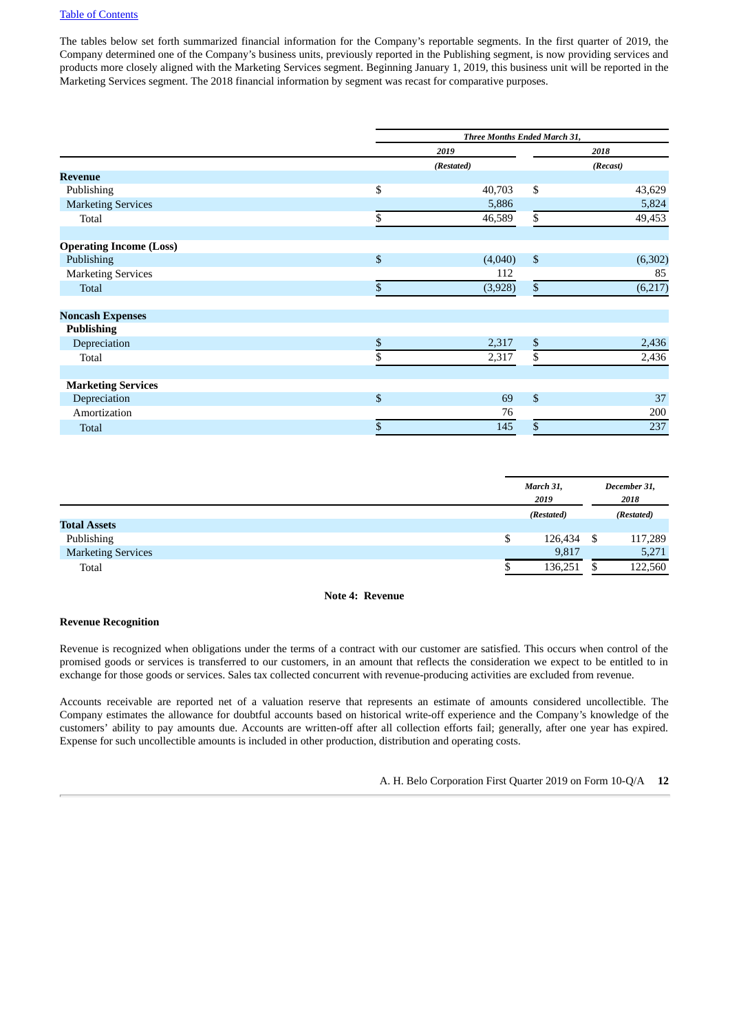The tables below set forth summarized financial information for the Company's reportable segments. In the first quarter of 2019, the Company determined one of the Company's business units, previously reported in the Publishing segment, is now providing services and products more closely aligned with the Marketing Services segment. Beginning January 1, 2019, this business unit will be reported in the Marketing Services segment. The 2018 financial information by segment was recast for comparative purposes.

|                                | Three Months Ended March 31,  |          |  |  |  |
|--------------------------------|-------------------------------|----------|--|--|--|
|                                | 2019                          | 2018     |  |  |  |
|                                | (Restated)                    | (Recast) |  |  |  |
| <b>Revenue</b>                 |                               |          |  |  |  |
| Publishing                     | \$<br>\$<br>40,703            | 43,629   |  |  |  |
| <b>Marketing Services</b>      | 5,886                         | 5,824    |  |  |  |
| Total                          | \$<br>\$<br>46,589            | 49,453   |  |  |  |
|                                |                               |          |  |  |  |
| <b>Operating Income (Loss)</b> |                               |          |  |  |  |
| Publishing                     | \$<br>$\mathbb{S}$<br>(4,040) | (6, 302) |  |  |  |
| <b>Marketing Services</b>      | 112                           | 85       |  |  |  |
| <b>Total</b>                   | \$<br>\$<br>(3,928)           | (6,217)  |  |  |  |
| <b>Noncash Expenses</b>        |                               |          |  |  |  |
| <b>Publishing</b>              |                               |          |  |  |  |
| Depreciation                   | \$<br>\$<br>2,317             | 2,436    |  |  |  |
| Total                          | \$<br>\$<br>2,317             | 2,436    |  |  |  |
| <b>Marketing Services</b>      |                               |          |  |  |  |
| Depreciation                   | \$<br>\$<br>69                | 37       |  |  |  |
| Amortization                   | 76                            | 200      |  |  |  |
| Total                          | \$<br>145<br>\$               | 237      |  |  |  |

|                           | March 31,<br>2019 |     | December 31,<br>2018 |
|---------------------------|-------------------|-----|----------------------|
|                           | (Restated)        |     | (Restated)           |
| <b>Total Assets</b>       |                   |     |                      |
| Publishing                | \$<br>126,434     | -\$ | 117,289              |
| <b>Marketing Services</b> | 9,817             |     | 5,271                |
| Total                     | 136,251           |     | 122,560              |

#### **Note 4: Revenue**

#### **Revenue Recognition**

Revenue is recognized when obligations under the terms of a contract with our customer are satisfied. This occurs when control of the promised goods or services is transferred to our customers, in an amount that reflects the consideration we expect to be entitled to in exchange for those goods or services. Sales tax collected concurrent with revenue-producing activities are excluded from revenue.

Accounts receivable are reported net of a valuation reserve that represents an estimate of amounts considered uncollectible. The Company estimates the allowance for doubtful accounts based on historical write-off experience and the Company's knowledge of the customers' ability to pay amounts due. Accounts are written-off after all collection efforts fail; generally, after one year has expired. Expense for such uncollectible amounts is included in other production, distribution and operating costs.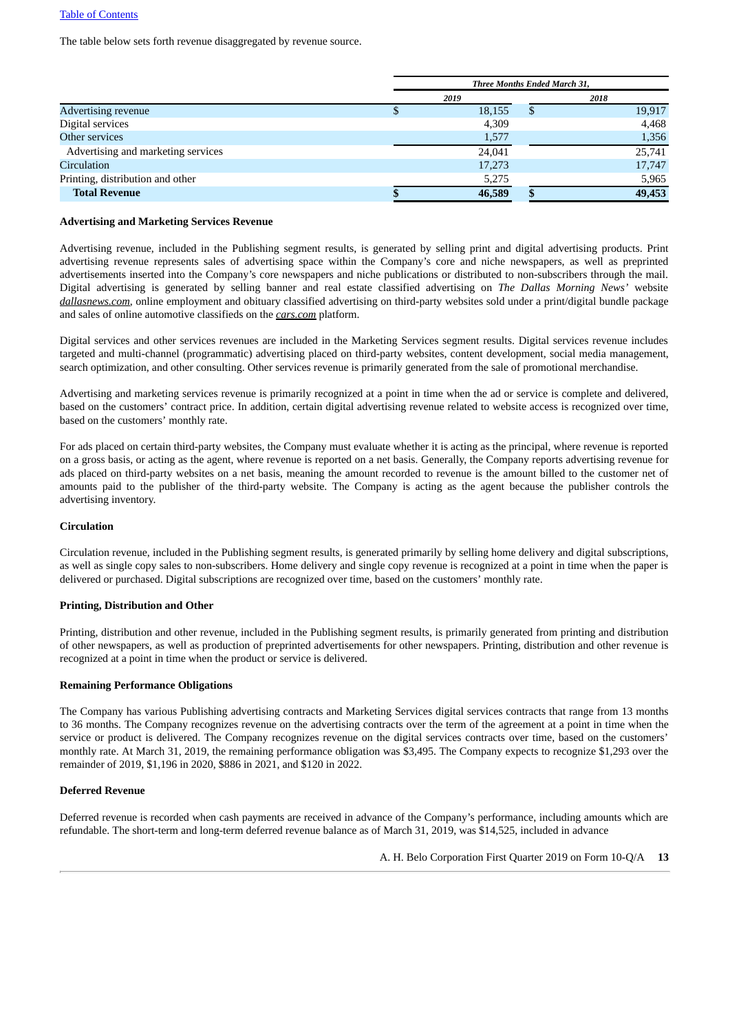The table below sets forth revenue disaggregated by revenue source.

|                                    | Three Months Ended March 31, |        |    |        |  |  |  |  |  |  |
|------------------------------------|------------------------------|--------|----|--------|--|--|--|--|--|--|
|                                    |                              | 2019   |    | 2018   |  |  |  |  |  |  |
| <b>Advertising revenue</b>         |                              | 18,155 | \$ | 19,917 |  |  |  |  |  |  |
| Digital services                   |                              | 4,309  |    | 4,468  |  |  |  |  |  |  |
| Other services                     |                              | 1,577  |    | 1,356  |  |  |  |  |  |  |
| Advertising and marketing services |                              | 24,041 |    | 25,741 |  |  |  |  |  |  |
| <b>Circulation</b>                 |                              | 17,273 |    | 17,747 |  |  |  |  |  |  |
| Printing, distribution and other   |                              | 5,275  |    | 5,965  |  |  |  |  |  |  |
| <b>Total Revenue</b>               |                              | 46,589 |    | 49,453 |  |  |  |  |  |  |

#### **Advertising and Marketing Services Revenue**

Advertising revenue, included in the Publishing segment results, is generated by selling print and digital advertising products. Print advertising revenue represents sales of advertising space within the Company's core and niche newspapers, as well as preprinted advertisements inserted into the Company's core newspapers and niche publications or distributed to non-subscribers through the mail. Digital advertising is generated by selling banner and real estate classified advertising on *The Dallas Morning News'* website *dallasnews.com*, online employment and obituary classified advertising on third-party websites sold under a print/digital bundle package and sales of online automotive classifieds on the *cars.com* platform.

Digital services and other services revenues are included in the Marketing Services segment results. Digital services revenue includes targeted and multi-channel (programmatic) advertising placed on third-party websites, content development, social media management, search optimization, and other consulting. Other services revenue is primarily generated from the sale of promotional merchandise.

Advertising and marketing services revenue is primarily recognized at a point in time when the ad or service is complete and delivered, based on the customers' contract price. In addition, certain digital advertising revenue related to website access is recognized over time, based on the customers' monthly rate.

For ads placed on certain third-party websites, the Company must evaluate whether it is acting as the principal, where revenue is reported on a gross basis, or acting as the agent, where revenue is reported on a net basis. Generally, the Company reports advertising revenue for ads placed on third-party websites on a net basis, meaning the amount recorded to revenue is the amount billed to the customer net of amounts paid to the publisher of the third-party website. The Company is acting as the agent because the publisher controls the advertising inventory.

#### **Circulation**

Circulation revenue, included in the Publishing segment results, is generated primarily by selling home delivery and digital subscriptions, as well as single copy sales to non-subscribers. Home delivery and single copy revenue is recognized at a point in time when the paper is delivered or purchased. Digital subscriptions are recognized over time, based on the customers' monthly rate.

#### **Printing, Distribution and Other**

Printing, distribution and other revenue, included in the Publishing segment results, is primarily generated from printing and distribution of other newspapers, as well as production of preprinted advertisements for other newspapers. Printing, distribution and other revenue is recognized at a point in time when the product or service is delivered.

#### **Remaining Performance Obligations**

The Company has various Publishing advertising contracts and Marketing Services digital services contracts that range from 13 months to 36 months. The Company recognizes revenue on the advertising contracts over the term of the agreement at a point in time when the service or product is delivered. The Company recognizes revenue on the digital services contracts over time, based on the customers' monthly rate. At March 31, 2019, the remaining performance obligation was \$3,495. The Company expects to recognize \$1,293 over the remainder of 2019, \$1,196 in 2020, \$886 in 2021, and \$120 in 2022.

#### **Deferred Revenue**

Deferred revenue is recorded when cash payments are received in advance of the Company's performance, including amounts which are refundable. The short-term and long-term deferred revenue balance as of March 31, 2019, was \$14,525, included in advance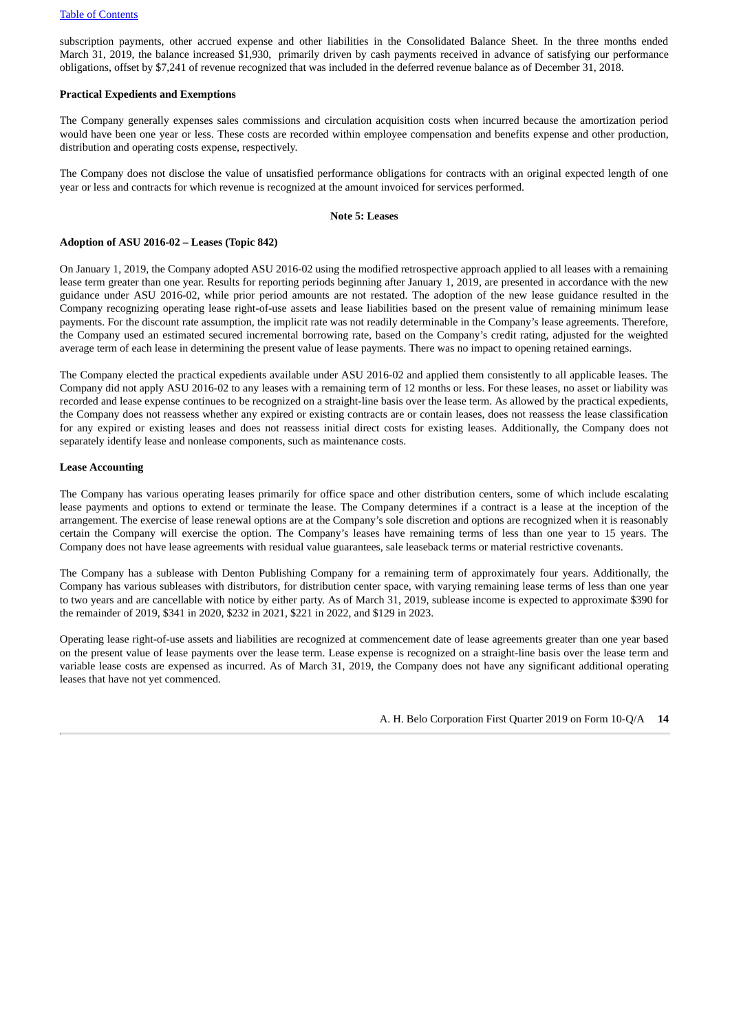subscription payments, other accrued expense and other liabilities in the Consolidated Balance Sheet. In the three months ended March 31, 2019, the balance increased \$1,930, primarily driven by cash payments received in advance of satisfying our performance obligations, offset by \$7,241 of revenue recognized that was included in the deferred revenue balance as of December 31, 2018.

#### **Practical Expedients and Exemptions**

The Company generally expenses sales commissions and circulation acquisition costs when incurred because the amortization period would have been one year or less. These costs are recorded within employee compensation and benefits expense and other production, distribution and operating costs expense, respectively.

The Company does not disclose the value of unsatisfied performance obligations for contracts with an original expected length of one year or less and contracts for which revenue is recognized at the amount invoiced for services performed.

#### **Note 5: Leases**

#### <span id="page-13-0"></span>**Adoption of ASU 2016-02 – Leases (Topic 842)**

On January 1, 2019, the Company adopted ASU 2016-02 using the modified retrospective approach applied to all leases with a remaining lease term greater than one year. Results for reporting periods beginning after January 1, 2019, are presented in accordance with the new guidance under ASU 2016-02, while prior period amounts are not restated. The adoption of the new lease guidance resulted in the Company recognizing operating lease right-of-use assets and lease liabilities based on the present value of remaining minimum lease payments. For the discount rate assumption, the implicit rate was not readily determinable in the Company's lease agreements. Therefore, the Company used an estimated secured incremental borrowing rate, based on the Company's credit rating, adjusted for the weighted average term of each lease in determining the present value of lease payments. There was no impact to opening retained earnings.

The Company elected the practical expedients available under ASU 2016-02 and applied them consistently to all applicable leases. The Company did not apply ASU 2016-02 to any leases with a remaining term of 12 months or less. For these leases, no asset or liability was recorded and lease expense continues to be recognized on a straight-line basis over the lease term. As allowed by the practical expedients, the Company does not reassess whether any expired or existing contracts are or contain leases, does not reassess the lease classification for any expired or existing leases and does not reassess initial direct costs for existing leases. Additionally, the Company does not separately identify lease and nonlease components, such as maintenance costs.

#### **Lease Accounting**

The Company has various operating leases primarily for office space and other distribution centers, some of which include escalating lease payments and options to extend or terminate the lease. The Company determines if a contract is a lease at the inception of the arrangement. The exercise of lease renewal options are at the Company's sole discretion and options are recognized when it is reasonably certain the Company will exercise the option. The Company's leases have remaining terms of less than one year to 15 years. The Company does not have lease agreements with residual value guarantees, sale leaseback terms or material restrictive covenants.

The Company has a sublease with Denton Publishing Company for a remaining term of approximately four years. Additionally, the Company has various subleases with distributors, for distribution center space, with varying remaining lease terms of less than one year to two years and are cancellable with notice by either party. As of March 31, 2019, sublease income is expected to approximate \$390 for the remainder of 2019, \$341 in 2020, \$232 in 2021, \$221 in 2022, and \$129 in 2023.

Operating lease right-of-use assets and liabilities are recognized at commencement date of lease agreements greater than one year based on the present value of lease payments over the lease term. Lease expense is recognized on a straight-line basis over the lease term and variable lease costs are expensed as incurred. As of March 31, 2019, the Company does not have any significant additional operating leases that have not yet commenced.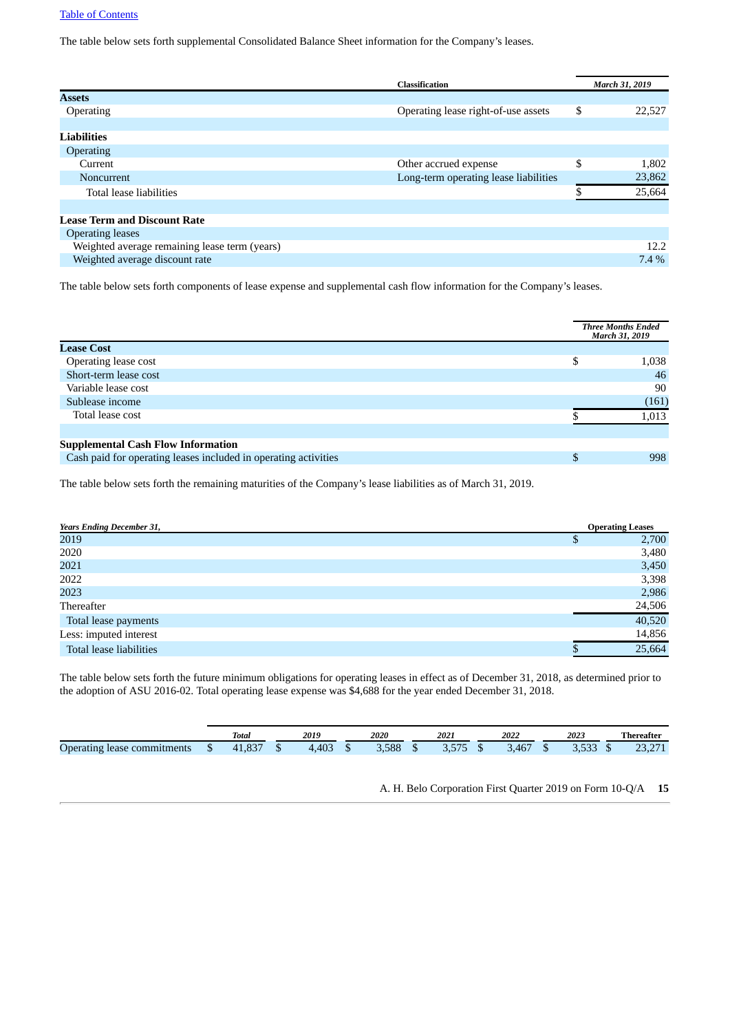The table below sets forth supplemental Consolidated Balance Sheet information for the Company's leases.

|                                               | Classification                        | March 31, 2019 |
|-----------------------------------------------|---------------------------------------|----------------|
| <b>Assets</b>                                 |                                       |                |
| <b>Operating</b>                              | Operating lease right-of-use assets   | \$<br>22,527   |
|                                               |                                       |                |
| <b>Liabilities</b>                            |                                       |                |
| Operating                                     |                                       |                |
| Current                                       | Other accrued expense                 | \$<br>1,802    |
| Noncurrent                                    | Long-term operating lease liabilities | 23,862         |
| Total lease liabilities                       |                                       | 25,664         |
|                                               |                                       |                |
| <b>Lease Term and Discount Rate</b>           |                                       |                |
| <b>Operating leases</b>                       |                                       |                |
| Weighted average remaining lease term (years) |                                       | 12.2           |
| Weighted average discount rate                |                                       | $7.4\%$        |
|                                               |                                       |                |

The table below sets forth components of lease expense and supplemental cash flow information for the Company's leases.

|                                                                 |     | <b>Three Months Ended</b><br><b>March 31, 2019</b> |
|-----------------------------------------------------------------|-----|----------------------------------------------------|
| <b>Lease Cost</b>                                               |     |                                                    |
| Operating lease cost                                            | \$. | 1,038                                              |
| Short-term lease cost                                           |     | 46                                                 |
| Variable lease cost                                             |     | 90                                                 |
| Sublease income                                                 |     | (161)                                              |
| Total lease cost                                                |     | 1,013                                              |
|                                                                 |     |                                                    |
| <b>Supplemental Cash Flow Information</b>                       |     |                                                    |
| Cash paid for operating leases included in operating activities |     | 998                                                |
|                                                                 |     |                                                    |

The table below sets forth the remaining maturities of the Company's lease liabilities as of March 31, 2019.

| <b>Years Ending December 31,</b> | <b>Operating Leases</b> |
|----------------------------------|-------------------------|
| 2019                             | 2,700                   |
| 2020                             | 3,480                   |
| 2021                             | 3,450                   |
| 2022                             | 3,398                   |
| 2023                             | 2,986                   |
| Thereafter                       | 24,506                  |
| Total lease payments             | 40,520                  |
| Less: imputed interest           | 14,856                  |
| Total lease liabilities          | 25,664                  |

The table below sets forth the future minimum obligations for operating leases in effect as of December 31, 2018, as determined prior to the adoption of ASU 2016-02. Total operating lease expense was \$4,688 for the year ended December 31, 2018.

|                                                                     |    | <b>Total</b>      | 2019  |   | 2020  | 2021        | 2022         | 2023          |    | Thereafter                     |
|---------------------------------------------------------------------|----|-------------------|-------|---|-------|-------------|--------------|---------------|----|--------------------------------|
| $\overline{\phantom{0}}$<br><i>i</i> lease commitments<br>Operating | ιυ | $\sim$<br>71.OJ / | 4,403 | ш | 3.588 | E E E<br>J. | 10F<br>3.46/ | <u> J.JJJ</u> | кD | $\Gamma$<br>$\sim$<br>2.0, 2.1 |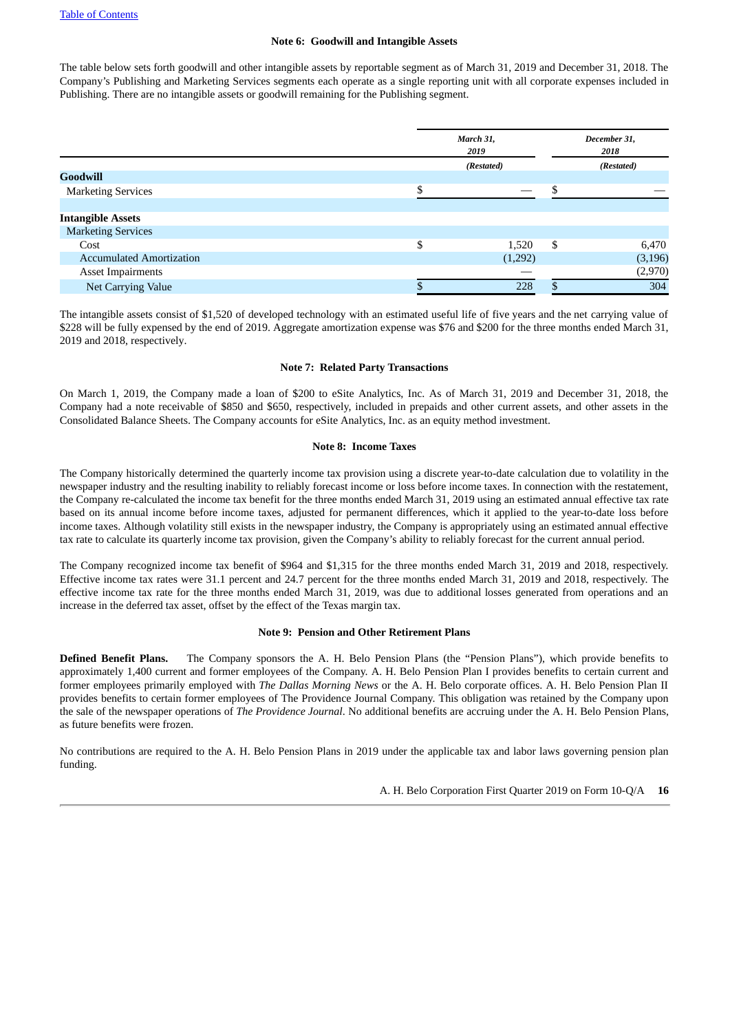#### **Note 6: Goodwill and Intangible Assets**

<span id="page-15-1"></span>The table below sets forth goodwill and other intangible assets by reportable segment as of March 31, 2019 and December 31, 2018. The Company's Publishing and Marketing Services segments each operate as a single reporting unit with all corporate expenses included in Publishing. There are no intangible assets or goodwill remaining for the Publishing segment.

|                                 | March 31,<br>2019 |    | December 31,<br>2018<br>(Restated) |  |  |
|---------------------------------|-------------------|----|------------------------------------|--|--|
|                                 | (Restated)        |    |                                    |  |  |
| <b>Goodwill</b>                 |                   |    |                                    |  |  |
| <b>Marketing Services</b>       |                   |    |                                    |  |  |
|                                 |                   |    |                                    |  |  |
| <b>Intangible Assets</b>        |                   |    |                                    |  |  |
| <b>Marketing Services</b>       |                   |    |                                    |  |  |
| Cost                            | \$<br>1,520       | \$ | 6,470                              |  |  |
| <b>Accumulated Amortization</b> | (1,292)           |    | (3, 196)                           |  |  |
| <b>Asset Impairments</b>        |                   |    | (2,970)                            |  |  |
| Net Carrying Value              | 228               | œ  | 304                                |  |  |
|                                 |                   |    |                                    |  |  |

The intangible assets consist of \$1,520 of developed technology with an estimated useful life of five years and the net carrying value of \$228 will be fully expensed by the end of 2019. Aggregate amortization expense was \$76 and \$200 for the three months ended March 31, 2019 and 2018, respectively.

#### **Note 7: Related Party Transactions**

On March 1, 2019, the Company made a loan of \$200 to eSite Analytics, Inc. As of March 31, 2019 and December 31, 2018, the Company had a note receivable of \$850 and \$650, respectively, included in prepaids and other current assets, and other assets in the Consolidated Balance Sheets. The Company accounts for eSite Analytics, Inc. as an equity method investment.

#### **Note 8: Income Taxes**

<span id="page-15-0"></span>The Company historically determined the quarterly income tax provision using a discrete year-to-date calculation due to volatility in the newspaper industry and the resulting inability to reliably forecast income or loss before income taxes. In connection with the restatement, the Company re-calculated the income tax benefit for the three months ended March 31, 2019 using an estimated annual effective tax rate based on its annual income before income taxes, adjusted for permanent differences, which it applied to the year-to-date loss before income taxes. Although volatility still exists in the newspaper industry, the Company is appropriately using an estimated annual effective tax rate to calculate its quarterly income tax provision, given the Company's ability to reliably forecast for the current annual period.

The Company recognized income tax benefit of \$964 and \$1,315 for the three months ended March 31, 2019 and 2018, respectively. Effective income tax rates were 31.1 percent and 24.7 percent for the three months ended March 31, 2019 and 2018, respectively. The effective income tax rate for the three months ended March 31, 2019, was due to additional losses generated from operations and an increase in the deferred tax asset, offset by the effect of the Texas margin tax.

#### **Note 9: Pension and Other Retirement Plans**

**Defined Benefit Plans.** The Company sponsors the A. H. Belo Pension Plans (the "Pension Plans"), which provide benefits to approximately 1,400 current and former employees of the Company. A. H. Belo Pension Plan I provides benefits to certain current and former employees primarily employed with *The Dallas Morning News* or the A. H. Belo corporate offices. A. H. Belo Pension Plan II provides benefits to certain former employees of The Providence Journal Company. This obligation was retained by the Company upon the sale of the newspaper operations of *The Providence Journal*. No additional benefits are accruing under the A. H. Belo Pension Plans, as future benefits were frozen.

No contributions are required to the A. H. Belo Pension Plans in 2019 under the applicable tax and labor laws governing pension plan funding.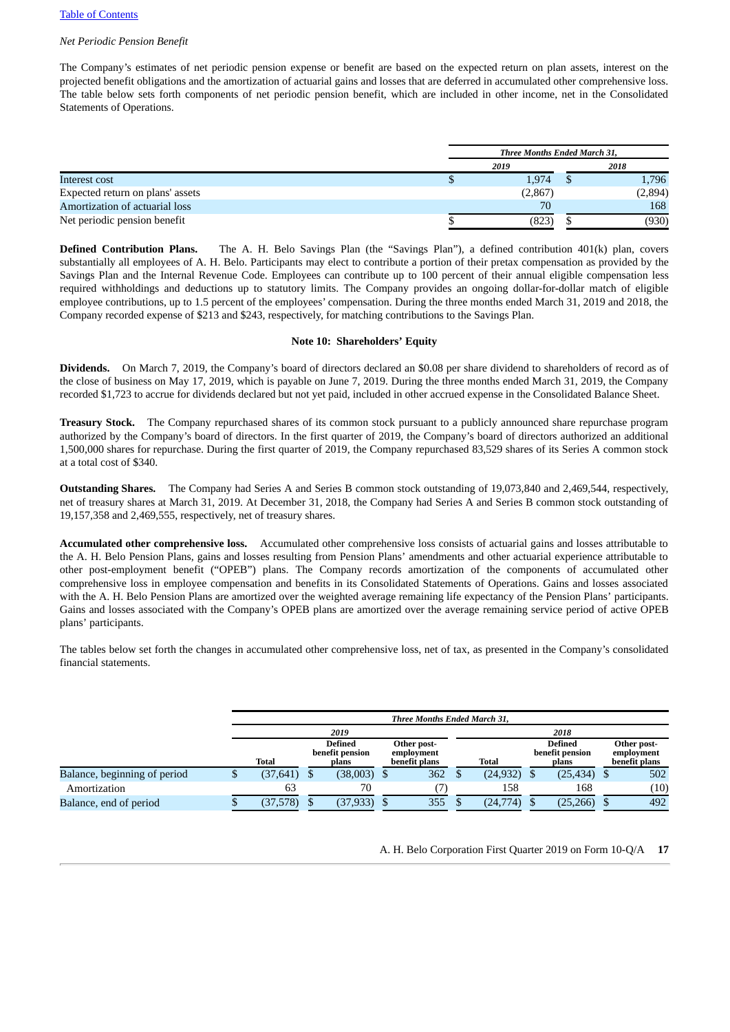#### *Net Periodic Pension Benefit*

The Company's estimates of net periodic pension expense or benefit are based on the expected return on plan assets, interest on the projected benefit obligations and the amortization of actuarial gains and losses that are deferred in accumulated other comprehensive loss. The table below sets forth components of net periodic pension benefit, which are included in other income, net in the Consolidated Statements of Operations.

|                                  | Three Months Ended March 31, |  |         |  |  |  |  |
|----------------------------------|------------------------------|--|---------|--|--|--|--|
|                                  | 2019                         |  | 2018    |  |  |  |  |
| Interest cost                    | 1,974                        |  | 1,796   |  |  |  |  |
| Expected return on plans' assets | (2,867)                      |  | (2,894) |  |  |  |  |
| Amortization of actuarial loss   | 70                           |  | 168     |  |  |  |  |
| Net periodic pension benefit     | (823)                        |  | (930)   |  |  |  |  |

**Defined Contribution Plans.** The A. H. Belo Savings Plan (the "Savings Plan"), a defined contribution 401(k) plan, covers substantially all employees of A. H. Belo. Participants may elect to contribute a portion of their pretax compensation as provided by the Savings Plan and the Internal Revenue Code. Employees can contribute up to 100 percent of their annual eligible compensation less required withholdings and deductions up to statutory limits. The Company provides an ongoing dollar-for-dollar match of eligible employee contributions, up to 1.5 percent of the employees' compensation. During the three months ended March 31, 2019 and 2018, the Company recorded expense of \$213 and \$243, respectively, for matching contributions to the Savings Plan.

#### **Note 10: Shareholders' Equity**

**Dividends.** On March 7, 2019, the Company's board of directors declared an \$0.08 per share dividend to shareholders of record as of the close of business on May 17, 2019, which is payable on June 7, 2019. During the three months ended March 31, 2019, the Company recorded \$1,723 to accrue for dividends declared but not yet paid, included in other accrued expense in the Consolidated Balance Sheet.

**Treasury Stock.** The Company repurchased shares of its common stock pursuant to a publicly announced share repurchase program authorized by the Company's board of directors. In the first quarter of 2019, the Company's board of directors authorized an additional 1,500,000 shares for repurchase. During the first quarter of 2019, the Company repurchased 83,529 shares of its Series A common stock at a total cost of \$340.

**Outstanding Shares.** The Company had Series A and Series B common stock outstanding of 19,073,840 and 2,469,544, respectively, net of treasury shares at March 31, 2019. At December 31, 2018, the Company had Series A and Series B common stock outstanding of 19,157,358 and 2,469,555, respectively, net of treasury shares.

**Accumulated other comprehensive loss.** Accumulated other comprehensive loss consists of actuarial gains and losses attributable to the A. H. Belo Pension Plans, gains and losses resulting from Pension Plans' amendments and other actuarial experience attributable to other post-employment benefit ("OPEB") plans. The Company records amortization of the components of accumulated other comprehensive loss in employee compensation and benefits in its Consolidated Statements of Operations. Gains and losses associated with the A. H. Belo Pension Plans are amortized over the weighted average remaining life expectancy of the Pension Plans' participants. Gains and losses associated with the Company's OPEB plans are amortized over the average remaining service period of active OPEB plans' participants.

The tables below set forth the changes in accumulated other comprehensive loss, net of tax, as presented in the Company's consolidated financial statements.

|                              | Three Months Ended March 31, |                                                                                          |               |  |       |                                            |           |                                            |           |  |      |
|------------------------------|------------------------------|------------------------------------------------------------------------------------------|---------------|--|-------|--------------------------------------------|-----------|--------------------------------------------|-----------|--|------|
|                              | 2019                         |                                                                                          |               |  |       |                                            |           |                                            | 2018      |  |      |
|                              | <b>Total</b>                 | <b>Defined</b><br>Other post-<br>benefit pension<br>employment<br>benefit plans<br>plans |               |  | Total | <b>Defined</b><br>benefit pension<br>plans |           | Other post-<br>employment<br>benefit plans |           |  |      |
| Balance, beginning of period | (37, 641)                    |                                                                                          | $(38,003)$ \$ |  | 362   |                                            | (24, 932) |                                            | (25, 434) |  | 502  |
| Amortization                 | 63                           |                                                                                          | 70            |  |       |                                            | 158       |                                            | 168       |  | (10) |
| Balance, end of period       | (37,578)                     |                                                                                          | (37, 933)     |  | 355   |                                            | (24,774)  |                                            | (25,266)  |  | 492  |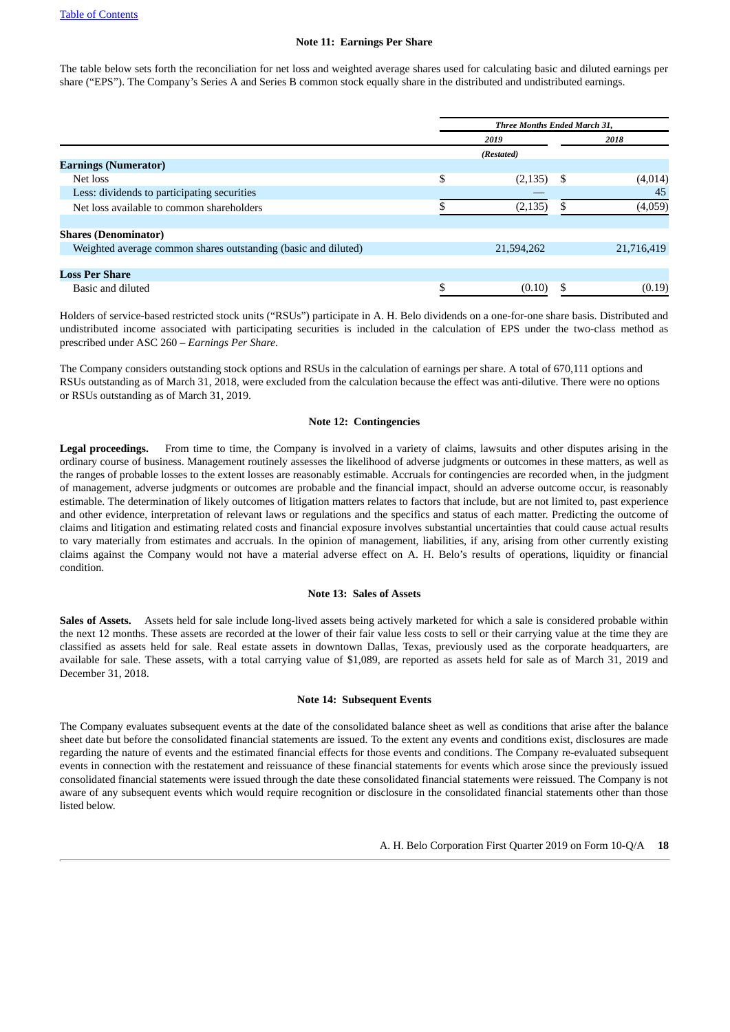#### **Note 11: Earnings Per Share**

The table below sets forth the reconciliation for net loss and weighted average shares used for calculating basic and diluted earnings per share ("EPS"). The Company's Series A and Series B common stock equally share in the distributed and undistributed earnings.

|                                                                |   | <b>Three Months Ended March 31,</b> |    |            |  |  |  |
|----------------------------------------------------------------|---|-------------------------------------|----|------------|--|--|--|
|                                                                |   | 2019                                |    | 2018       |  |  |  |
|                                                                |   | (Restated)                          |    |            |  |  |  |
| <b>Earnings (Numerator)</b>                                    |   |                                     |    |            |  |  |  |
| Net loss                                                       | S | (2, 135)                            | -S | (4,014)    |  |  |  |
| Less: dividends to participating securities                    |   |                                     |    | 45         |  |  |  |
| Net loss available to common shareholders                      |   | (2, 135)                            |    | (4,059)    |  |  |  |
| <b>Shares (Denominator)</b>                                    |   |                                     |    |            |  |  |  |
| Weighted average common shares outstanding (basic and diluted) |   | 21,594,262                          |    | 21,716,419 |  |  |  |
|                                                                |   |                                     |    |            |  |  |  |
| <b>Loss Per Share</b>                                          |   |                                     |    |            |  |  |  |
| Basic and diluted                                              |   | (0.10)                              |    | (0.19)     |  |  |  |

Holders of service-based restricted stock units ("RSUs") participate in A. H. Belo dividends on a one-for-one share basis. Distributed and undistributed income associated with participating securities is included in the calculation of EPS under the two-class method as prescribed under ASC 260 – *Earnings Per Share*.

The Company considers outstanding stock options and RSUs in the calculation of earnings per share. A total of 670,111 options and RSUs outstanding as of March 31, 2018, were excluded from the calculation because the effect was anti-dilutive. There were no options or RSUs outstanding as of March 31, 2019.

#### **Note 12: Contingencies**

**Legal proceedings.** From time to time, the Company is involved in a variety of claims, lawsuits and other disputes arising in the ordinary course of business. Management routinely assesses the likelihood of adverse judgments or outcomes in these matters, as well as the ranges of probable losses to the extent losses are reasonably estimable. Accruals for contingencies are recorded when, in the judgment of management, adverse judgments or outcomes are probable and the financial impact, should an adverse outcome occur, is reasonably estimable. The determination of likely outcomes of litigation matters relates to factors that include, but are not limited to, past experience and other evidence, interpretation of relevant laws or regulations and the specifics and status of each matter. Predicting the outcome of claims and litigation and estimating related costs and financial exposure involves substantial uncertainties that could cause actual results to vary materially from estimates and accruals. In the opinion of management, liabilities, if any, arising from other currently existing claims against the Company would not have a material adverse effect on A. H. Belo's results of operations, liquidity or financial condition.

#### **Note 13: Sales of Assets**

**Sales of Assets.** Assets held for sale include long-lived assets being actively marketed for which a sale is considered probable within the next 12 months. These assets are recorded at the lower of their fair value less costs to sell or their carrying value at the time they are classified as assets held for sale. Real estate assets in downtown Dallas, Texas, previously used as the corporate headquarters, are available for sale. These assets, with a total carrying value of \$1,089, are reported as assets held for sale as of March 31, 2019 and December 31, 2018.

#### **Note 14: Subsequent Events**

<span id="page-17-0"></span>The Company evaluates subsequent events at the date of the consolidated balance sheet as well as conditions that arise after the balance sheet date but before the consolidated financial statements are issued. To the extent any events and conditions exist, disclosures are made regarding the nature of events and the estimated financial effects for those events and conditions. The Company re-evaluated subsequent events in connection with the restatement and reissuance of these financial statements for events which arose since the previously issued consolidated financial statements were issued through the date these consolidated financial statements were reissued. The Company is not aware of any subsequent events which would require recognition or disclosure in the consolidated financial statements other than those listed below.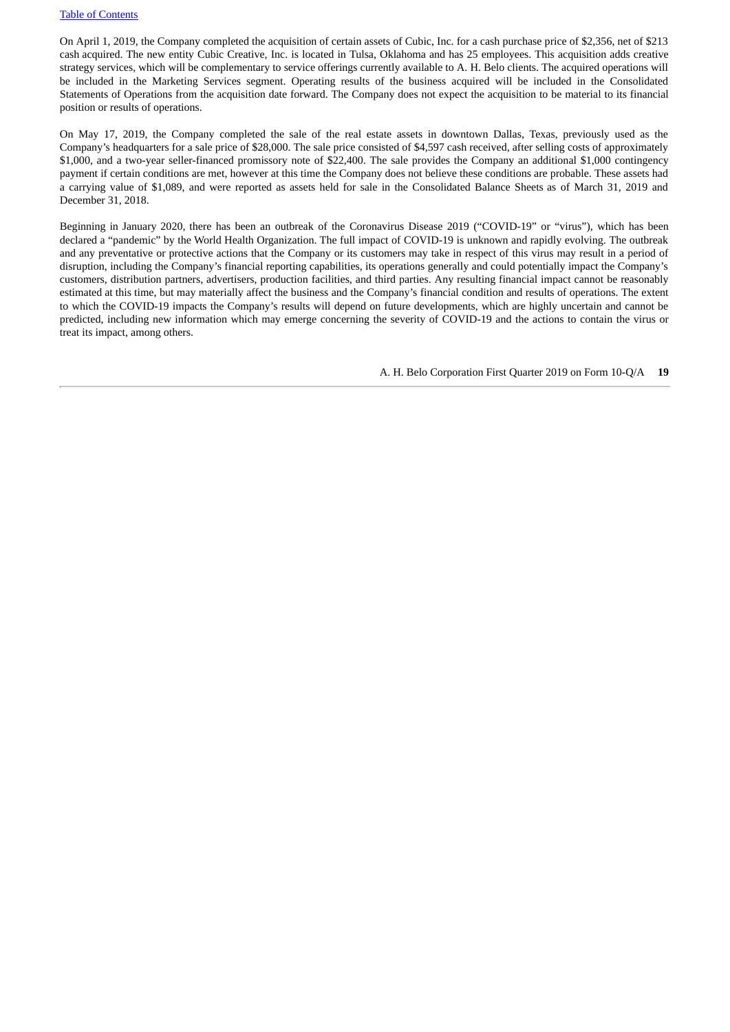On April 1, 2019, the Company completed the acquisition of certain assets of Cubic, Inc. for a cash purchase price of \$2,356, net of \$213 cash acquired. The new entity Cubic Creative, Inc. is located in Tulsa, Oklahoma and has 25 employees. This acquisition adds creative strategy services, which will be complementary to service offerings currently available to A. H. Belo clients. The acquired operations will be included in the Marketing Services segment. Operating results of the business acquired will be included in the Consolidated Statements of Operations from the acquisition date forward. The Company does not expect the acquisition to be material to its financial position or results of operations.

On May 17, 2019, the Company completed the sale of the real estate assets in downtown Dallas, Texas, previously used as the Company's headquarters for a sale price of \$28,000. The sale price consisted of \$4,597 cash received, after selling costs of approximately \$1,000, and a two-year seller-financed promissory note of \$22,400. The sale provides the Company an additional \$1,000 contingency payment if certain conditions are met, however at this time the Company does not believe these conditions are probable. These assets had a carrying value of \$1,089, and were reported as assets held for sale in the Consolidated Balance Sheets as of March 31, 2019 and December 31, 2018.

Beginning in January 2020, there has been an outbreak of the Coronavirus Disease 2019 ("COVID-19" or "virus"), which has been declared a "pandemic" by the World Health Organization. The full impact of COVID-19 is unknown and rapidly evolving. The outbreak and any preventative or protective actions that the Company or its customers may take in respect of this virus may result in a period of disruption, including the Company's financial reporting capabilities, its operations generally and could potentially impact the Company's customers, distribution partners, advertisers, production facilities, and third parties. Any resulting financial impact cannot be reasonably estimated at this time, but may materially affect the business and the Company's financial condition and results of operations. The extent to which the COVID-19 impacts the Company's results will depend on future developments, which are highly uncertain and cannot be predicted, including new information which may emerge concerning the severity of COVID-19 and the actions to contain the virus or treat its impact, among others.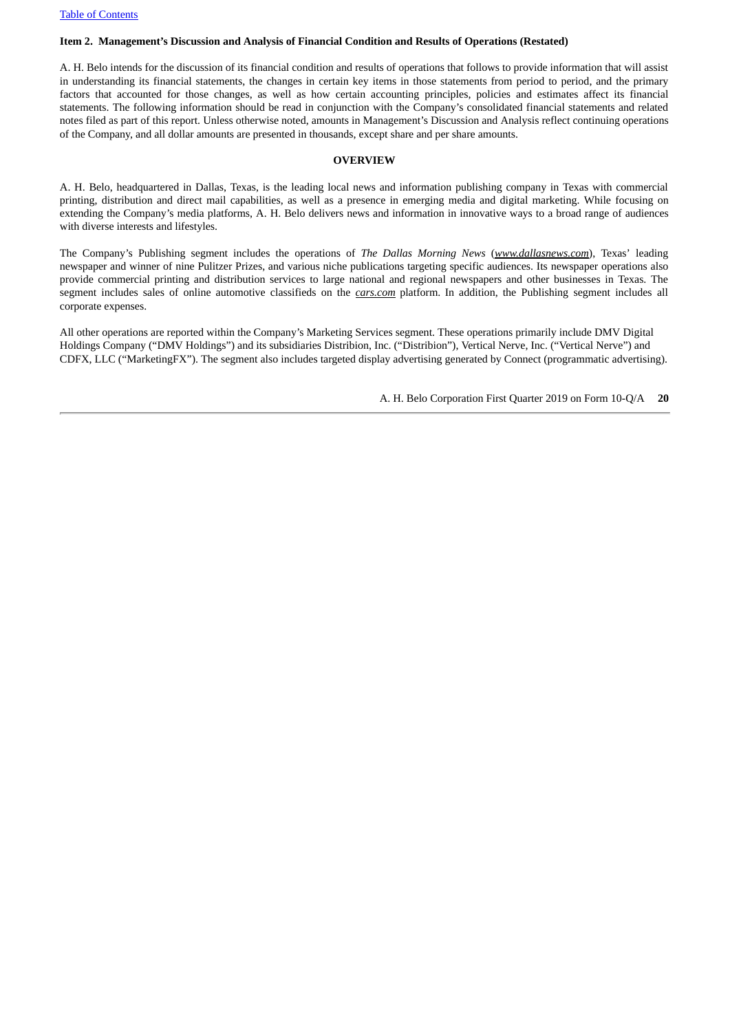#### <span id="page-19-0"></span>**Item 2. Management's Discussion and Analysis of Financial Condition and Results of Operations (Restated)**

A. H. Belo intends for the discussion of its financial condition and results of operations that follows to provide information that will assist in understanding its financial statements, the changes in certain key items in those statements from period to period, and the primary factors that accounted for those changes, as well as how certain accounting principles, policies and estimates affect its financial statements. The following information should be read in conjunction with the Company's consolidated financial statements and related notes filed as part of this report. Unless otherwise noted, amounts in Management's Discussion and Analysis reflect continuing operations of the Company, and all dollar amounts are presented in thousands, except share and per share amounts.

#### **OVERVIEW**

A. H. Belo, headquartered in Dallas, Texas, is the leading local news and information publishing company in Texas with commercial printing, distribution and direct mail capabilities, as well as a presence in emerging media and digital marketing. While focusing on extending the Company's media platforms, A. H. Belo delivers news and information in innovative ways to a broad range of audiences with diverse interests and lifestyles.

The Company's Publishing segment includes the operations of *The Dallas Morning News* (*www.dallasnews.com*), Texas' leading newspaper and winner of nine Pulitzer Prizes, and various niche publications targeting specific audiences. Its newspaper operations also provide commercial printing and distribution services to large national and regional newspapers and other businesses in Texas. The segment includes sales of online automotive classifieds on the *cars.com* platform. In addition, the Publishing segment includes all corporate expenses.

All other operations are reported within the Company's Marketing Services segment. These operations primarily include DMV Digital Holdings Company ("DMV Holdings") and its subsidiaries Distribion, Inc. ("Distribion"), Vertical Nerve, Inc. ("Vertical Nerve") and CDFX, LLC ("MarketingFX"). The segment also includes targeted display advertising generated by Connect (programmatic advertising).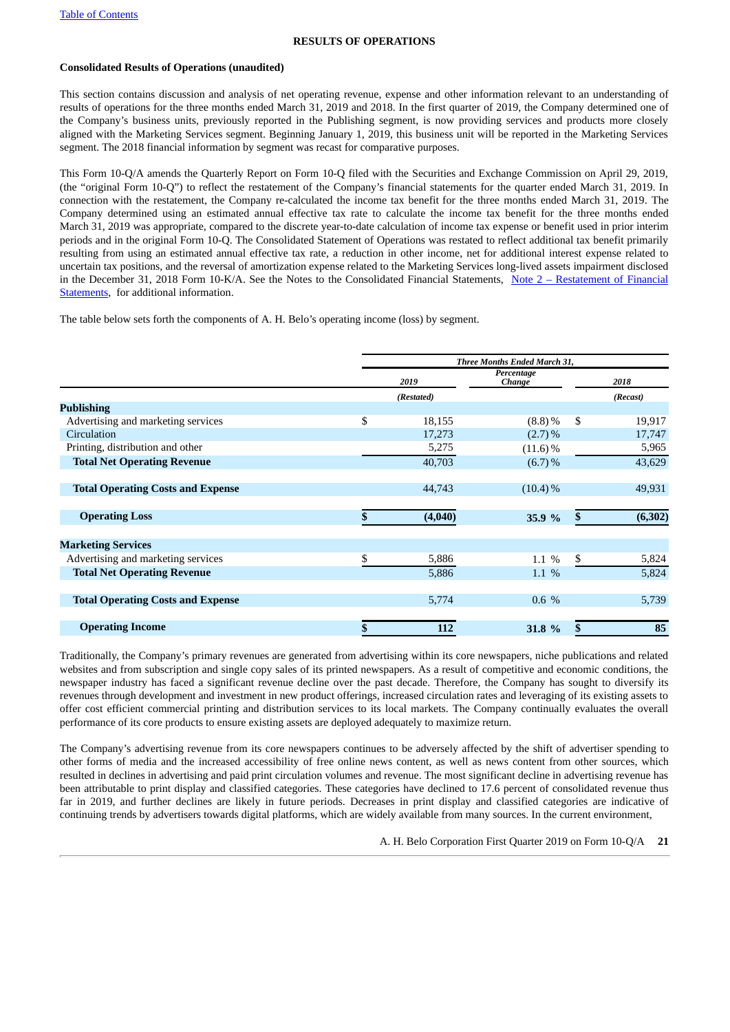#### **RESULTS OF OPERATIONS**

#### **Consolidated Results of Operations (unaudited)**

This section contains discussion and analysis of net operating revenue, expense and other information relevant to an understanding of results of operations for the three months ended March 31, 2019 and 2018. In the first quarter of 2019, the Company determined one of the Company's business units, previously reported in the Publishing segment, is now providing services and products more closely aligned with the Marketing Services segment. Beginning January 1, 2019, this business unit will be reported in the Marketing Services segment. The 2018 financial information by segment was recast for comparative purposes.

This Form 10-Q/A amends the Quarterly Report on Form 10-Q filed with the Securities and Exchange Commission on April 29, 2019, (the "original Form 10-Q") to reflect the restatement of the Company's financial statements for the quarter ended March 31, 2019. In connection with the restatement, the Company re-calculated the income tax benefit for the three months ended March 31, 2019. The Company determined using an estimated annual effective tax rate to calculate the income tax benefit for the three months ended March 31, 2019 was appropriate, compared to the discrete year-to-date calculation of income tax expense or benefit used in prior interim periods and in the original Form 10-Q. The Consolidated Statement of Operations was restated to reflect additional tax benefit primarily resulting from using an estimated annual effective tax rate, a reduction in other income, net for additional interest expense related to uncertain tax positions, and the reversal of amortization expense related to the Marketing Services long-lived assets impairment disclosed in the December 31, 2018 Form 10-K/A. See the Notes to the [Consolidated](#page-8-0) Financial Statements, Note 2 – Restatement of Financial Statements, for additional information.

The table below sets forth the components of A. H. Belo's operating income (loss) by segment.

|                                          | <b>Three Months Ended March 31,</b> |            |                      |    |          |  |  |  |
|------------------------------------------|-------------------------------------|------------|----------------------|----|----------|--|--|--|
|                                          |                                     | 2019       | Percentage<br>Change |    | 2018     |  |  |  |
|                                          |                                     | (Restated) |                      |    | (Recast) |  |  |  |
| <b>Publishing</b>                        |                                     |            |                      |    |          |  |  |  |
| Advertising and marketing services       | \$                                  | 18,155     | $(8.8) \%$           | \$ | 19,917   |  |  |  |
| Circulation                              |                                     | 17,273     | $(2.7)\%$            |    | 17,747   |  |  |  |
| Printing, distribution and other         |                                     | 5,275      | $(11.6)\%$           |    | 5,965    |  |  |  |
| <b>Total Net Operating Revenue</b>       |                                     | 40,703     | (6.7)%               |    | 43,629   |  |  |  |
| <b>Total Operating Costs and Expense</b> |                                     | 44,743     | $(10.4)\%$           |    | 49,931   |  |  |  |
| <b>Operating Loss</b>                    |                                     | (4,040)    | 35.9 %               |    | (6, 302) |  |  |  |
| <b>Marketing Services</b>                |                                     |            |                      |    |          |  |  |  |
| Advertising and marketing services       | \$                                  | 5,886      | 1.1 %                | \$ | 5,824    |  |  |  |
| <b>Total Net Operating Revenue</b>       |                                     | 5,886      | $1.1\%$              |    | 5,824    |  |  |  |
| <b>Total Operating Costs and Expense</b> |                                     | 5,774      | 0.6 %                |    | 5,739    |  |  |  |
| <b>Operating Income</b>                  |                                     | 112        | 31.8 %               | \$ | 85       |  |  |  |

Traditionally, the Company's primary revenues are generated from advertising within its core newspapers, niche publications and related websites and from subscription and single copy sales of its printed newspapers. As a result of competitive and economic conditions, the newspaper industry has faced a significant revenue decline over the past decade. Therefore, the Company has sought to diversify its revenues through development and investment in new product offerings, increased circulation rates and leveraging of its existing assets to offer cost efficient commercial printing and distribution services to its local markets. The Company continually evaluates the overall performance of its core products to ensure existing assets are deployed adequately to maximize return.

The Company's advertising revenue from its core newspapers continues to be adversely affected by the shift of advertiser spending to other forms of media and the increased accessibility of free online news content, as well as news content from other sources, which resulted in declines in advertising and paid print circulation volumes and revenue. The most significant decline in advertising revenue has been attributable to print display and classified categories. These categories have declined to 17.6 percent of consolidated revenue thus far in 2019, and further declines are likely in future periods. Decreases in print display and classified categories are indicative of continuing trends by advertisers towards digital platforms, which are widely available from many sources. In the current environment,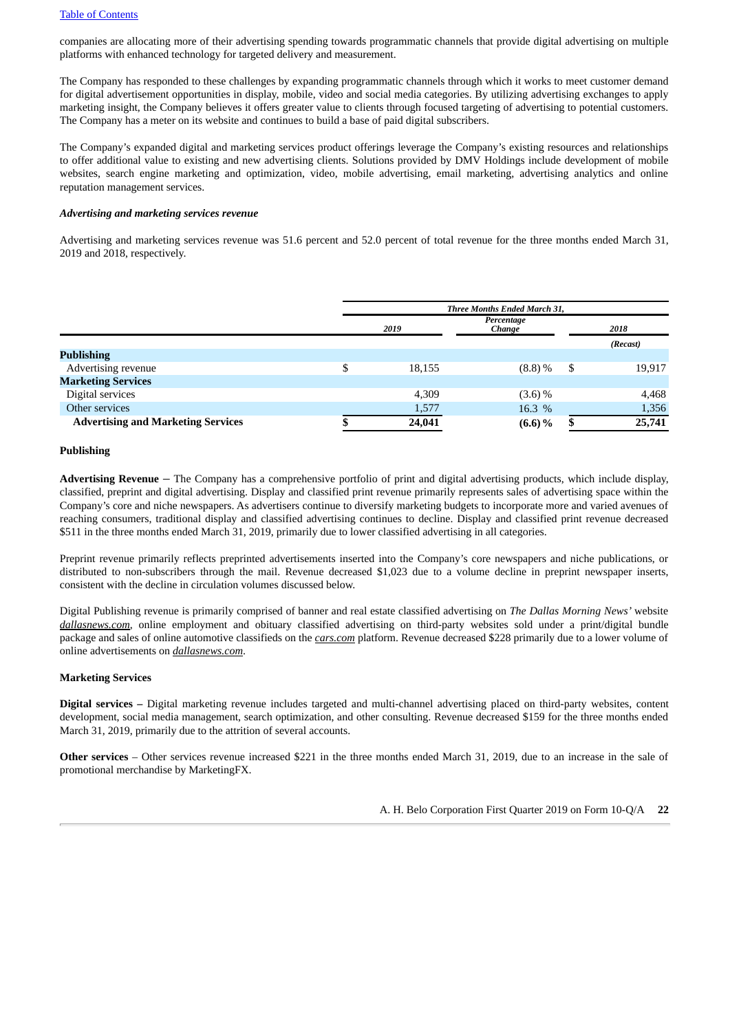companies are allocating more of their advertising spending towards programmatic channels that provide digital advertising on multiple platforms with enhanced technology for targeted delivery and measurement.

The Company has responded to these challenges by expanding programmatic channels through which it works to meet customer demand for digital advertisement opportunities in display, mobile, video and social media categories. By utilizing advertising exchanges to apply marketing insight, the Company believes it offers greater value to clients through focused targeting of advertising to potential customers. The Company has a meter on its website and continues to build a base of paid digital subscribers.

The Company's expanded digital and marketing services product offerings leverage the Company's existing resources and relationships to offer additional value to existing and new advertising clients. Solutions provided by DMV Holdings include development of mobile websites, search engine marketing and optimization, video, mobile advertising, email marketing, advertising analytics and online reputation management services.

#### *Advertising and marketing services revenue*

Advertising and marketing services revenue was 51.6 percent and 52.0 percent of total revenue for the three months ended March 31, 2019 and 2018, respectively.

|     | Three Months Ended March 31, |            |                      |          |  |  |  |  |  |
|-----|------------------------------|------------|----------------------|----------|--|--|--|--|--|
|     | 2019                         |            | 2018                 |          |  |  |  |  |  |
|     |                              |            |                      | (Recast) |  |  |  |  |  |
|     |                              |            |                      |          |  |  |  |  |  |
| ъĐ. | 18,155                       | $(8.8) \%$ | S                    | 19,917   |  |  |  |  |  |
|     |                              |            |                      |          |  |  |  |  |  |
|     | 4,309                        | $(3.6)$ %  |                      | 4,468    |  |  |  |  |  |
|     | 1,577                        | 16.3 %     |                      | 1,356    |  |  |  |  |  |
|     | 24,041                       | $(6.6)$ %  |                      | 25,741   |  |  |  |  |  |
|     |                              |            | Percentage<br>Change |          |  |  |  |  |  |

#### **Publishing**

**Advertising Revenue** – The Company has a comprehensive portfolio of print and digital advertising products, which include display, classified, preprint and digital advertising. Display and classified print revenue primarily represents sales of advertising space within the Company's core and niche newspapers. As advertisers continue to diversify marketing budgets to incorporate more and varied avenues of reaching consumers, traditional display and classified advertising continues to decline. Display and classified print revenue decreased \$511 in the three months ended March 31, 2019, primarily due to lower classified advertising in all categories.

Preprint revenue primarily reflects preprinted advertisements inserted into the Company's core newspapers and niche publications, or distributed to non-subscribers through the mail. Revenue decreased \$1,023 due to a volume decline in preprint newspaper inserts, consistent with the decline in circulation volumes discussed below.

Digital Publishing revenue is primarily comprised of banner and real estate classified advertising on *The Dallas Morning News'* website *dallasnews.com*, online employment and obituary classified advertising on third-party websites sold under a print/digital bundle package and sales of online automotive classifieds on the *cars.com* platform. Revenue decreased \$228 primarily due to a lower volume of online advertisements on *dallasnews.com*.

#### **Marketing Services**

**Digital services –** Digital marketing revenue includes targeted and multi-channel advertising placed on third-party websites, content development, social media management, search optimization, and other consulting. Revenue decreased \$159 for the three months ended March 31, 2019, primarily due to the attrition of several accounts.

**Other services** – Other services revenue increased \$221 in the three months ended March 31, 2019, due to an increase in the sale of promotional merchandise by MarketingFX.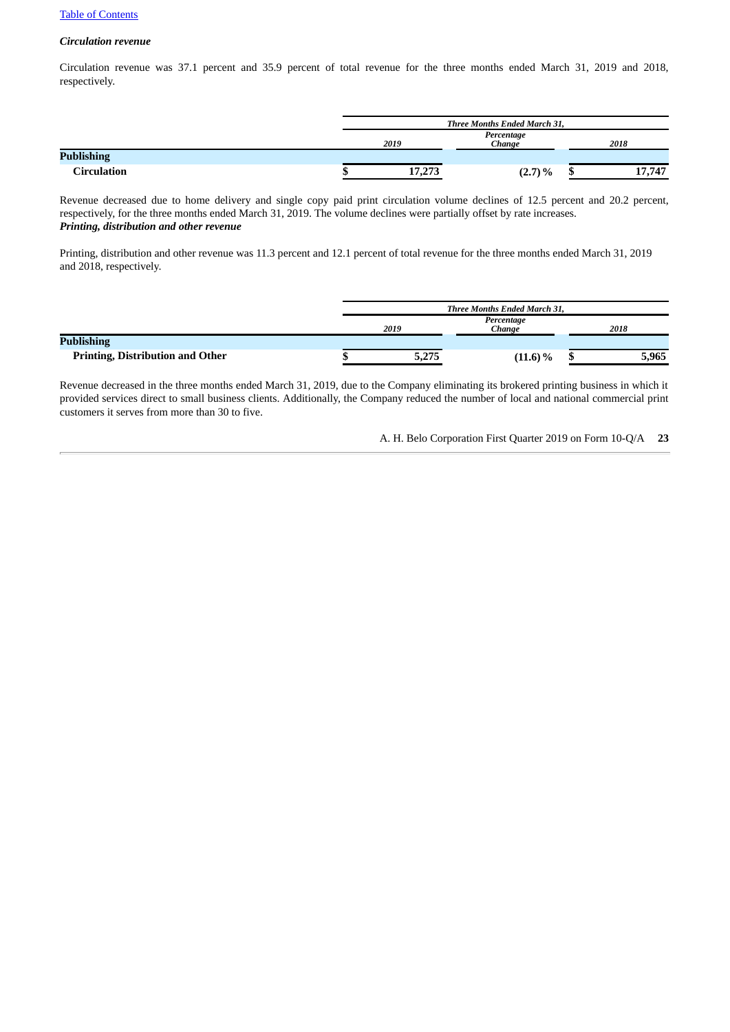#### *Circulation revenue*

Circulation revenue was 37.1 percent and 35.9 percent of total revenue for the three months ended March 31, 2019 and 2018, respectively.

|                   | Three Months Ended March 31, |                      |  |        |
|-------------------|------------------------------|----------------------|--|--------|
|                   | 2019                         | Percentage<br>Change |  | 2018   |
| <b>Publishing</b> |                              |                      |  |        |
| Circulation       | 17,273                       | $(2.7) \%$           |  | 17,747 |

Revenue decreased due to home delivery and single copy paid print circulation volume declines of 12.5 percent and 20.2 percent, respectively, for the three months ended March 31, 2019. The volume declines were partially offset by rate increases. *Printing, distribution and other revenue*

Printing, distribution and other revenue was 11.3 percent and 12.1 percent of total revenue for the three months ended March 31, 2019 and 2018, respectively.

|                                         | <b>Three Months Ended March 31.</b> |                      |  |       |
|-----------------------------------------|-------------------------------------|----------------------|--|-------|
|                                         | 2019                                | Percentage<br>Chanae |  | 2018  |
| <b>Publishing</b>                       |                                     |                      |  |       |
| <b>Printing, Distribution and Other</b> | 5,275                               | $(11.6) \%$          |  | 5,965 |

Revenue decreased in the three months ended March 31, 2019, due to the Company eliminating its brokered printing business in which it provided services direct to small business clients. Additionally, the Company reduced the number of local and national commercial print customers it serves from more than 30 to five.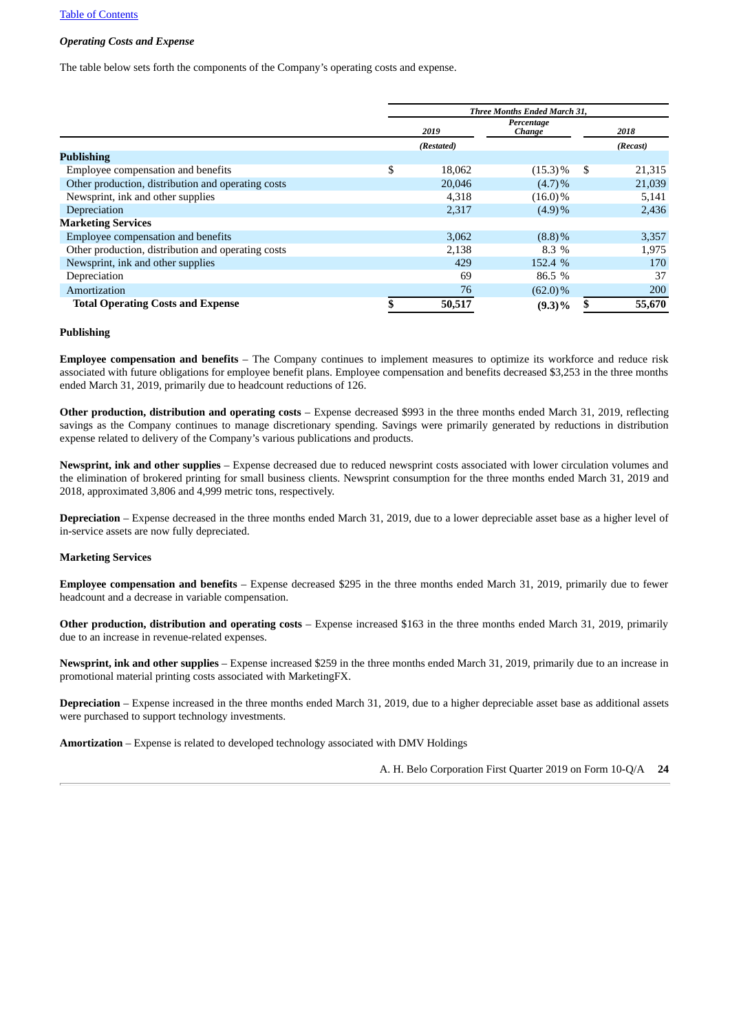#### *Operating Costs and Expense*

The table below sets forth the components of the Company's operating costs and expense.

|                                                    | Three Months Ended March 31, |            |    |          |
|----------------------------------------------------|------------------------------|------------|----|----------|
|                                                    | Percentage<br>2019<br>Change |            |    | 2018     |
|                                                    | (Restated)                   |            |    | (Recast) |
| <b>Publishing</b>                                  |                              |            |    |          |
| Employee compensation and benefits                 | \$<br>18,062                 | $(15.3)\%$ | S. | 21,315   |
| Other production, distribution and operating costs | 20,046                       | $(4.7)\%$  |    | 21,039   |
| Newsprint, ink and other supplies                  | 4,318                        | $(16.0)\%$ |    | 5,141    |
| Depreciation                                       | 2,317                        | (4.9)%     |    | 2,436    |
| <b>Marketing Services</b>                          |                              |            |    |          |
| Employee compensation and benefits                 | 3,062                        | $(8.8)\%$  |    | 3,357    |
| Other production, distribution and operating costs | 2,138                        | 8.3%       |    | 1,975    |
| Newsprint, ink and other supplies                  | 429                          | 152.4 %    |    | 170      |
| Depreciation                                       | 69                           | 86.5 %     |    | 37       |
| Amortization                                       | 76                           | $(62.0)\%$ |    | 200      |
| <b>Total Operating Costs and Expense</b>           | \$<br>50,517                 | $(9.3)\%$  |    | 55,670   |

#### **Publishing**

**Employee compensation and benefits** – The Company continues to implement measures to optimize its workforce and reduce risk associated with future obligations for employee benefit plans. Employee compensation and benefits decreased \$3,253 in the three months ended March 31, 2019, primarily due to headcount reductions of 126.

**Other production, distribution and operating costs** – Expense decreased \$993 in the three months ended March 31, 2019, reflecting savings as the Company continues to manage discretionary spending. Savings were primarily generated by reductions in distribution expense related to delivery of the Company's various publications and products.

**Newsprint, ink and other supplies** – Expense decreased due to reduced newsprint costs associated with lower circulation volumes and the elimination of brokered printing for small business clients. Newsprint consumption for the three months ended March 31, 2019 and 2018, approximated 3,806 and 4,999 metric tons, respectively.

**Depreciation** – Expense decreased in the three months ended March 31, 2019, due to a lower depreciable asset base as a higher level of in-service assets are now fully depreciated.

#### **Marketing Services**

**Employee compensation and benefits** – Expense decreased \$295 in the three months ended March 31, 2019, primarily due to fewer headcount and a decrease in variable compensation.

**Other production, distribution and operating costs** – Expense increased \$163 in the three months ended March 31, 2019, primarily due to an increase in revenue-related expenses.

**Newsprint, ink and other supplies** – Expense increased \$259 in the three months ended March 31, 2019, primarily due to an increase in promotional material printing costs associated with MarketingFX.

**Depreciation** – Expense increased in the three months ended March 31, 2019, due to a higher depreciable asset base as additional assets were purchased to support technology investments.

**Amortization** – Expense is related to developed technology associated with DMV Holdings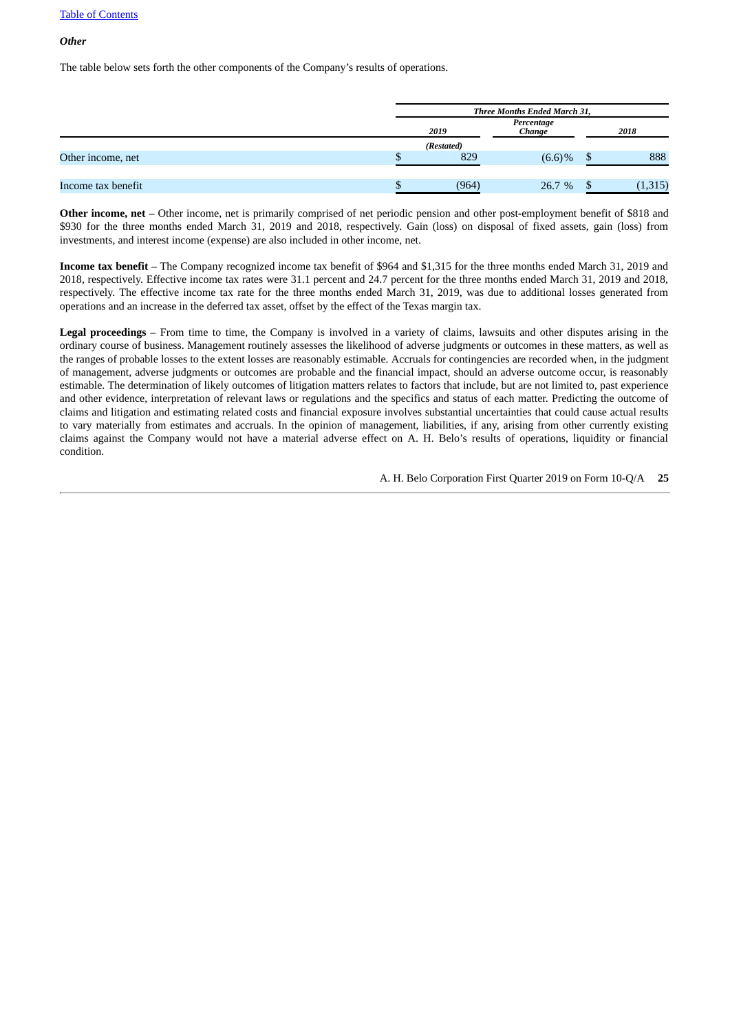#### *Other*

The table below sets forth the other components of the Company's results of operations.

|                    | Three Months Ended March 31, |           |  |          |  |  |
|--------------------|------------------------------|-----------|--|----------|--|--|
|                    | 2019                         | 2018      |  |          |  |  |
|                    | (Restated)                   |           |  |          |  |  |
| Other income, net  | 829                          | $(6.6)$ % |  | 888      |  |  |
| Income tax benefit | (964)                        | 26.7 %    |  | (1, 315) |  |  |

**Other income, net** – Other income, net is primarily comprised of net periodic pension and other post-employment benefit of \$818 and \$930 for the three months ended March 31, 2019 and 2018, respectively. Gain (loss) on disposal of fixed assets, gain (loss) from investments, and interest income (expense) are also included in other income, net.

**Income tax benefit** – The Company recognized income tax benefit of \$964 and \$1,315 for the three months ended March 31, 2019 and 2018, respectively. Effective income tax rates were 31.1 percent and 24.7 percent for the three months ended March 31, 2019 and 2018, respectively. The effective income tax rate for the three months ended March 31, 2019, was due to additional losses generated from operations and an increase in the deferred tax asset, offset by the effect of the Texas margin tax.

**Legal proceedings** – From time to time, the Company is involved in a variety of claims, lawsuits and other disputes arising in the ordinary course of business. Management routinely assesses the likelihood of adverse judgments or outcomes in these matters, as well as the ranges of probable losses to the extent losses are reasonably estimable. Accruals for contingencies are recorded when, in the judgment of management, adverse judgments or outcomes are probable and the financial impact, should an adverse outcome occur, is reasonably estimable. The determination of likely outcomes of litigation matters relates to factors that include, but are not limited to, past experience and other evidence, interpretation of relevant laws or regulations and the specifics and status of each matter. Predicting the outcome of claims and litigation and estimating related costs and financial exposure involves substantial uncertainties that could cause actual results to vary materially from estimates and accruals. In the opinion of management, liabilities, if any, arising from other currently existing claims against the Company would not have a material adverse effect on A. H. Belo's results of operations, liquidity or financial condition.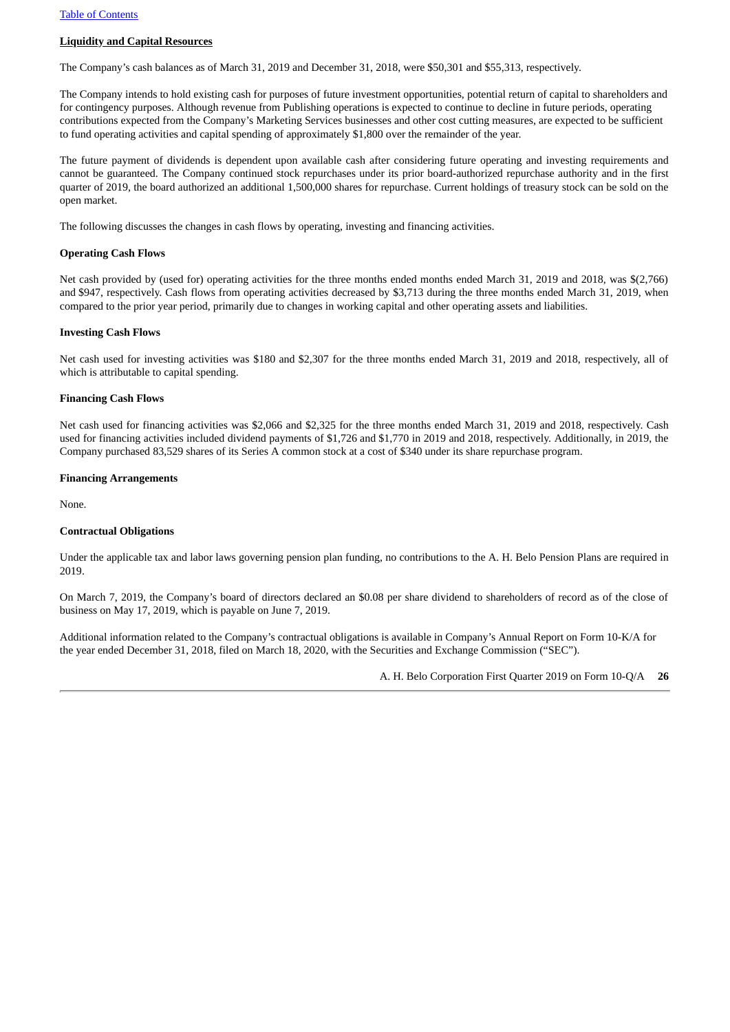#### **Liquidity and Capital Resources**

The Company's cash balances as of March 31, 2019 and December 31, 2018, were \$50,301 and \$55,313, respectively.

The Company intends to hold existing cash for purposes of future investment opportunities, potential return of capital to shareholders and for contingency purposes. Although revenue from Publishing operations is expected to continue to decline in future periods, operating contributions expected from the Company's Marketing Services businesses and other cost cutting measures, are expected to be sufficient to fund operating activities and capital spending of approximately \$1,800 over the remainder of the year.

The future payment of dividends is dependent upon available cash after considering future operating and investing requirements and cannot be guaranteed. The Company continued stock repurchases under its prior board-authorized repurchase authority and in the first quarter of 2019, the board authorized an additional 1,500,000 shares for repurchase. Current holdings of treasury stock can be sold on the open market.

The following discusses the changes in cash flows by operating, investing and financing activities.

#### **Operating Cash Flows**

Net cash provided by (used for) operating activities for the three months ended months ended March 31, 2019 and 2018, was \$(2,766) and \$947, respectively. Cash flows from operating activities decreased by \$3,713 during the three months ended March 31, 2019, when compared to the prior year period, primarily due to changes in working capital and other operating assets and liabilities.

#### **Investing Cash Flows**

Net cash used for investing activities was \$180 and \$2,307 for the three months ended March 31, 2019 and 2018, respectively, all of which is attributable to capital spending.

#### **Financing Cash Flows**

Net cash used for financing activities was \$2,066 and \$2,325 for the three months ended March 31, 2019 and 2018, respectively. Cash used for financing activities included dividend payments of \$1,726 and \$1,770 in 2019 and 2018, respectively. Additionally, in 2019, the Company purchased 83,529 shares of its Series A common stock at a cost of \$340 under its share repurchase program.

#### **Financing Arrangements**

None.

#### **Contractual Obligations**

Under the applicable tax and labor laws governing pension plan funding, no contributions to the A. H. Belo Pension Plans are required in 2019.

On March 7, 2019, the Company's board of directors declared an \$0.08 per share dividend to shareholders of record as of the close of business on May 17, 2019, which is payable on June 7, 2019.

Additional information related to the Company's contractual obligations is available in Company's Annual Report on Form 10‑K/A for the year ended December 31, 2018, filed on March 18, 2020, with the Securities and Exchange Commission ("SEC").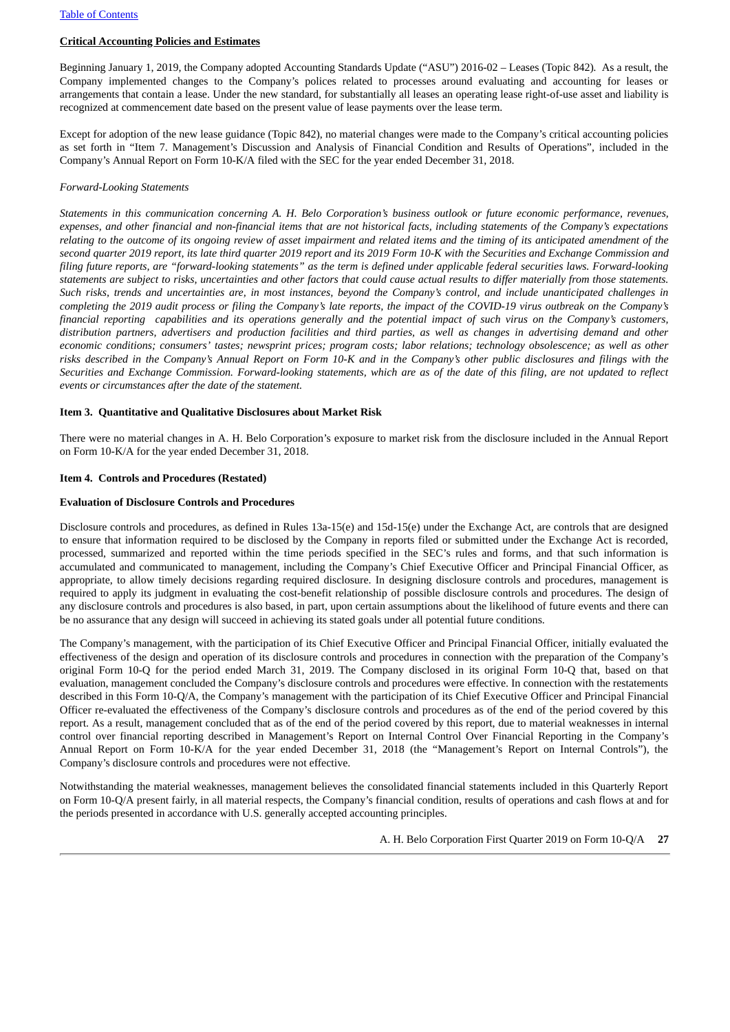#### **Critical Accounting Policies and Estimates**

Beginning January 1, 2019, the Company adopted Accounting Standards Update ("ASU") 2016-02 – Leases (Topic 842)*.* As a result, the Company implemented changes to the Company's polices related to processes around evaluating and accounting for leases or arrangements that contain a lease. Under the new standard, for substantially all leases an operating lease right-of-use asset and liability is recognized at commencement date based on the present value of lease payments over the lease term.

Except for adoption of the new lease guidance (Topic 842), no material changes were made to the Company's critical accounting policies as set forth in "Item 7. Management's Discussion and Analysis of Financial Condition and Results of Operations", included in the Company's Annual Report on Form 10-K/A filed with the SEC for the year ended December 31, 2018.

#### *Forward-Looking Statements*

Statements in this communication concerning A, H, Belo Corporation's business outlook or future economic performance, revenues, expenses, and other financial and non-financial items that are not historical facts, including statements of the Company's expectations relating to the outcome of its ongoing review of asset impairment and related items and the timing of its anticipated amendment of the second quarter 2019 report, its late third quarter 2019 report and its 2019 Form 10-K with the Securities and Exchange Commission and filing future reports, are "forward-looking statements" as the term is defined under applicable federal securities laws. Forward-looking statements are subject to risks, uncertainties and other factors that could cause actual results to differ materially from those statements. Such risks, trends and uncertainties are, in most instances, beyond the Company's control, and include unanticipated challenges in completing the 2019 audit process or filing the Company's late reports, the impact of the COVID-19 virus outbreak on the Company's financial reporting capabilities and its operations generally and the potential impact of such virus on the Company's customers, distribution partners, advertisers and production facilities and third parties, as well as changes in advertising demand and other economic conditions; consumers' tastes; newsprint prices; program costs; labor relations; technology obsolescence; as well as other risks described in the Company's Annual Report on Form 10-K and in the Company's other public disclosures and filings with the Securities and Exchange Commission. Forward-looking statements, which are as of the date of this filing, are not updated to reflect *events or circumstances after the date of the statement.*

#### <span id="page-26-1"></span>**Item 3. Quantitative and Qualitative Disclosures about Market Risk**

There were no material changes in A. H. Belo Corporation's exposure to market risk from the disclosure included in the Annual Report on Form 10-K/A for the year ended December 31, 2018.

#### <span id="page-26-2"></span><span id="page-26-0"></span>**Item 4. Controls and Procedures (Restated)**

#### **Evaluation of Disclosure Controls and Procedures**

Disclosure controls and procedures, as defined in Rules 13a-15(e) and 15d-15(e) under the Exchange Act, are controls that are designed to ensure that information required to be disclosed by the Company in reports filed or submitted under the Exchange Act is recorded, processed, summarized and reported within the time periods specified in the SEC's rules and forms, and that such information is accumulated and communicated to management, including the Company's Chief Executive Officer and Principal Financial Officer, as appropriate, to allow timely decisions regarding required disclosure. In designing disclosure controls and procedures, management is required to apply its judgment in evaluating the cost-benefit relationship of possible disclosure controls and procedures. The design of any disclosure controls and procedures is also based, in part, upon certain assumptions about the likelihood of future events and there can be no assurance that any design will succeed in achieving its stated goals under all potential future conditions.

The Company's management, with the participation of its Chief Executive Officer and Principal Financial Officer, initially evaluated the effectiveness of the design and operation of its disclosure controls and procedures in connection with the preparation of the Company's original Form 10-Q for the period ended March 31, 2019. The Company disclosed in its original Form 10-Q that, based on that evaluation, management concluded the Company's disclosure controls and procedures were effective. In connection with the restatements described in this Form 10-Q/A, the Company's management with the participation of its Chief Executive Officer and Principal Financial Officer re-evaluated the effectiveness of the Company's disclosure controls and procedures as of the end of the period covered by this report. As a result, management concluded that as of the end of the period covered by this report, due to material weaknesses in internal control over financial reporting described in Management's Report on Internal Control Over Financial Reporting in the Company's Annual Report on Form 10-K/A for the year ended December 31, 2018 (the "Management's Report on Internal Controls"), the Company's disclosure controls and procedures were not effective.

Notwithstanding the material weaknesses, management believes the consolidated financial statements included in this Quarterly Report on Form 10-Q/A present fairly, in all material respects, the Company's financial condition, results of operations and cash flows at and for the periods presented in accordance with U.S. generally accepted accounting principles.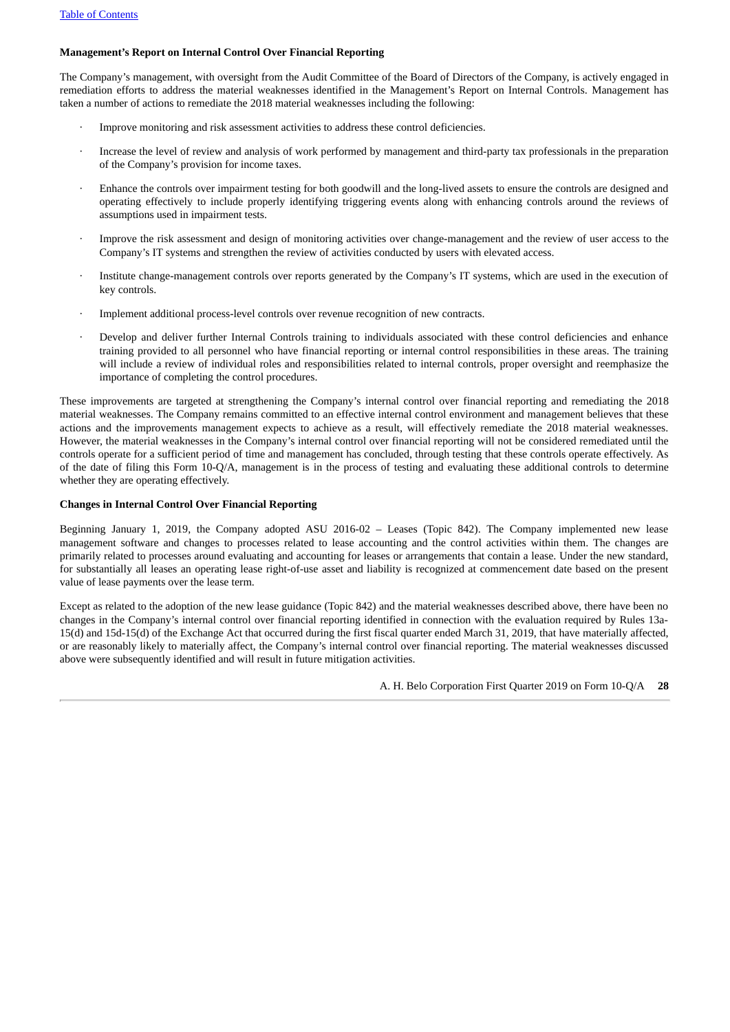#### **Management's Report on Internal Control Over Financial Reporting**

The Company's management, with oversight from the Audit Committee of the Board of Directors of the Company, is actively engaged in remediation efforts to address the material weaknesses identified in the Management's Report on Internal Controls. Management has taken a number of actions to remediate the 2018 material weaknesses including the following:

- Improve monitoring and risk assessment activities to address these control deficiencies.
- Increase the level of review and analysis of work performed by management and third-party tax professionals in the preparation of the Company's provision for income taxes.
- Enhance the controls over impairment testing for both goodwill and the long-lived assets to ensure the controls are designed and operating effectively to include properly identifying triggering events along with enhancing controls around the reviews of assumptions used in impairment tests.
- Improve the risk assessment and design of monitoring activities over change-management and the review of user access to the Company's IT systems and strengthen the review of activities conducted by users with elevated access.
- Institute change-management controls over reports generated by the Company's IT systems, which are used in the execution of key controls.
- · Implement additional process-level controls over revenue recognition of new contracts.
- Develop and deliver further Internal Controls training to individuals associated with these control deficiencies and enhance training provided to all personnel who have financial reporting or internal control responsibilities in these areas. The training will include a review of individual roles and responsibilities related to internal controls, proper oversight and reemphasize the importance of completing the control procedures.

These improvements are targeted at strengthening the Company's internal control over financial reporting and remediating the 2018 material weaknesses. The Company remains committed to an effective internal control environment and management believes that these actions and the improvements management expects to achieve as a result, will effectively remediate the 2018 material weaknesses. However, the material weaknesses in the Company's internal control over financial reporting will not be considered remediated until the controls operate for a sufficient period of time and management has concluded, through testing that these controls operate effectively. As of the date of filing this Form 10-Q/A, management is in the process of testing and evaluating these additional controls to determine whether they are operating effectively.

#### **Changes in Internal Control Over Financial Reporting**

Beginning January 1, 2019, the Company adopted ASU 2016-02 – Leases (Topic 842). The Company implemented new lease management software and changes to processes related to lease accounting and the control activities within them. The changes are primarily related to processes around evaluating and accounting for leases or arrangements that contain a lease. Under the new standard, for substantially all leases an operating lease right-of-use asset and liability is recognized at commencement date based on the present value of lease payments over the lease term.

Except as related to the adoption of the new lease guidance (Topic 842) and the material weaknesses described above, there have been no changes in the Company's internal control over financial reporting identified in connection with the evaluation required by Rules 13a-15(d) and 15d-15(d) of the Exchange Act that occurred during the first fiscal quarter ended March 31, 2019, that have materially affected, or are reasonably likely to materially affect, the Company's internal control over financial reporting. The material weaknesses discussed above were subsequently identified and will result in future mitigation activities.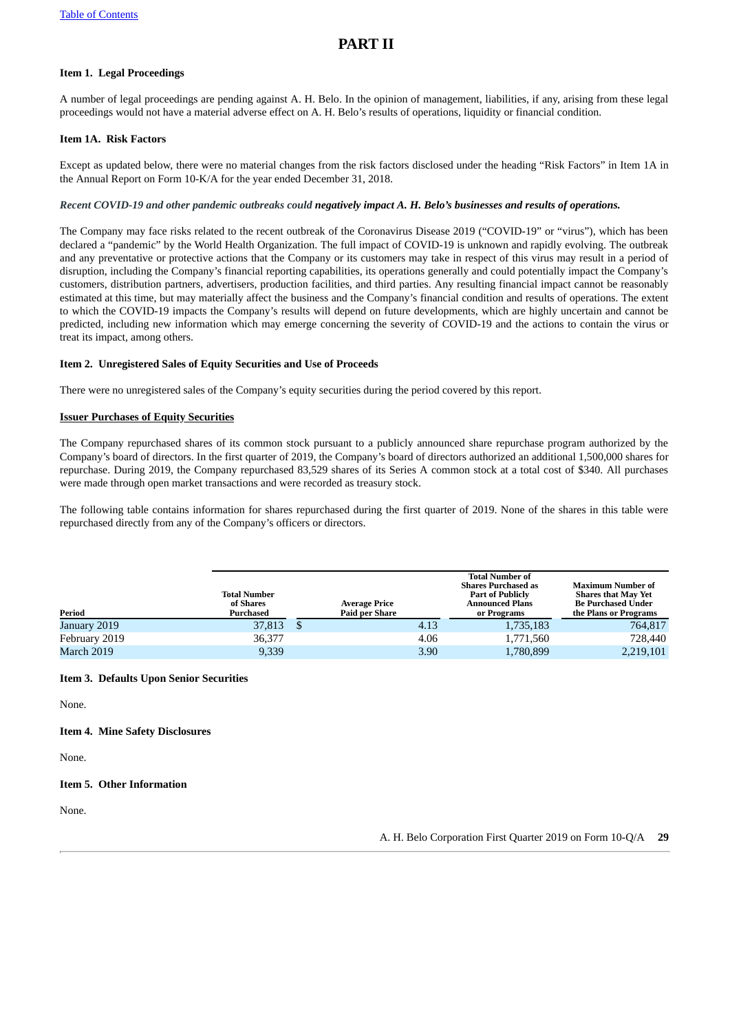## <span id="page-28-1"></span>**PART II**

### <span id="page-28-2"></span>**Item 1. Legal Proceedings**

A number of legal proceedings are pending against A. H. Belo. In the opinion of management, liabilities, if any, arising from these legal proceedings would not have a material adverse effect on A. H. Belo's results of operations, liquidity or financial condition.

#### <span id="page-28-3"></span><span id="page-28-0"></span>**Item 1A. Risk Factors**

Except as updated below, there were no material changes from the risk factors disclosed under the heading "Risk Factors" in Item 1A in the Annual Report on Form 10-K/A for the year ended December 31, 2018.

#### Recent COVID-19 and other pandemic outbreaks could negatively impact A. H. Belo's businesses and results of operations.

The Company may face risks related to the recent outbreak of the Coronavirus Disease 2019 ("COVID-19" or "virus"), which has been declared a "pandemic" by the World Health Organization. The full impact of COVID-19 is unknown and rapidly evolving. The outbreak and any preventative or protective actions that the Company or its customers may take in respect of this virus may result in a period of disruption, including the Company's financial reporting capabilities, its operations generally and could potentially impact the Company's customers, distribution partners, advertisers, production facilities, and third parties. Any resulting financial impact cannot be reasonably estimated at this time, but may materially affect the business and the Company's financial condition and results of operations. The extent to which the COVID-19 impacts the Company's results will depend on future developments, which are highly uncertain and cannot be predicted, including new information which may emerge concerning the severity of COVID-19 and the actions to contain the virus or treat its impact, among others.

#### <span id="page-28-4"></span>**Item 2. Unregistered Sales of Equity Securities and Use of Proceeds**

There were no unregistered sales of the Company's equity securities during the period covered by this report.

#### **Issuer Purchases of Equity Securities**

The Company repurchased shares of its common stock pursuant to a publicly announced share repurchase program authorized by the Company's board of directors. In the first quarter of 2019, the Company's board of directors authorized an additional 1,500,000 shares for repurchase. During 2019, the Company repurchased 83,529 shares of its Series A common stock at a total cost of \$340. All purchases were made through open market transactions and were recorded as treasury stock.

The following table contains information for shares repurchased during the first quarter of 2019. None of the shares in this table were repurchased directly from any of the Company's officers or directors.

| Period        | <b>Total Number</b><br>of Shares<br>Purchased | <b>Average Price</b><br><b>Paid per Share</b> |      | <b>Total Number of</b><br><b>Shares Purchased as</b><br><b>Part of Publicly</b><br><b>Announced Plans</b><br>or Programs | <b>Maximum Number of</b><br><b>Shares that May Yet</b><br><b>Be Purchased Under</b><br>the Plans or Programs |
|---------------|-----------------------------------------------|-----------------------------------------------|------|--------------------------------------------------------------------------------------------------------------------------|--------------------------------------------------------------------------------------------------------------|
| January 2019  | 37,813                                        |                                               | 4.13 | 1,735,183                                                                                                                | 764,817                                                                                                      |
| February 2019 | 36,377                                        |                                               | 4.06 | 1,771,560                                                                                                                | 728,440                                                                                                      |
| March 2019    | 9,339                                         |                                               | 3.90 | 1,780,899                                                                                                                | 2,219,101                                                                                                    |

#### <span id="page-28-5"></span>**Item 3. Defaults Upon Senior Securities**

None.

#### <span id="page-28-6"></span>**Item 4. Mine Safety Disclosures**

None.

#### <span id="page-28-7"></span>**Item 5. Other Information**

None.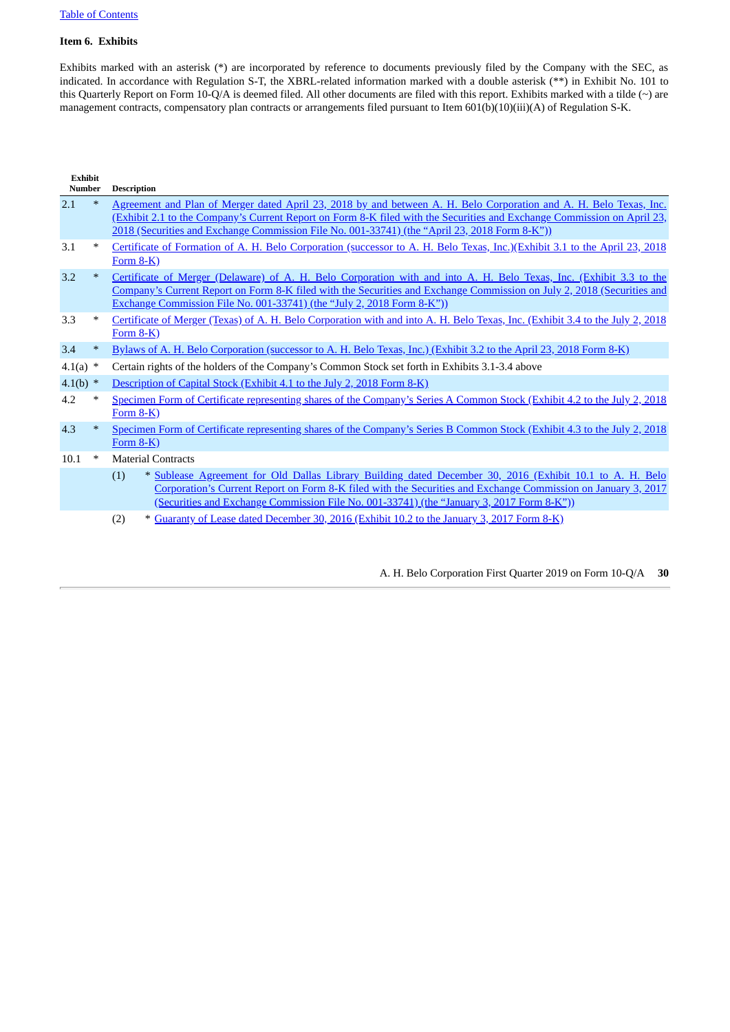#### <span id="page-29-0"></span>**Item 6. Exhibits**

Exhibits marked with an asterisk (\*) are incorporated by reference to documents previously filed by the Company with the SEC, as indicated. In accordance with Regulation S-T, the XBRL-related information marked with a double asterisk (\*\*) in Exhibit No. 101 to this Quarterly Report on Form 10-Q/A is deemed filed. All other documents are filed with this report. Exhibits marked with a tilde (~) are management contracts, compensatory plan contracts or arrangements filed pursuant to Item 601(b)(10)(iii)(A) of Regulation S-K.

| <b>Exhibit</b><br>Number |        | <b>Description</b>                                                                                                                                                                                                                                                                                                                             |
|--------------------------|--------|------------------------------------------------------------------------------------------------------------------------------------------------------------------------------------------------------------------------------------------------------------------------------------------------------------------------------------------------|
| 2.1                      | $\ast$ | Agreement and Plan of Merger dated April 23, 2018 by and between A. H. Belo Corporation and A. H. Belo Texas, Inc.<br>(Exhibit 2.1 to the Company's Current Report on Form 8-K filed with the Securities and Exchange Commission on April 23,<br>2018 (Securities and Exchange Commission File No. 001-33741) (the "April 23, 2018 Form 8-K")) |
| 3.1                      | $\ast$ | Certificate of Formation of A. H. Belo Corporation (successor to A. H. Belo Texas, Inc.)(Exhibit 3.1 to the April 23, 2018<br>Form $8-K$ )                                                                                                                                                                                                     |
| 3.2                      | $\ast$ | Certificate of Merger (Delaware) of A. H. Belo Corporation with and into A. H. Belo Texas, Inc. (Exhibit 3.3 to the<br>Company's Current Report on Form 8-K filed with the Securities and Exchange Commission on July 2, 2018 (Securities and<br>Exchange Commission File No. 001-33741) (the "July 2, 2018 Form 8-K"))                        |
| 3.3                      | $\ast$ | Certificate of Merger (Texas) of A. H. Belo Corporation with and into A. H. Belo Texas, Inc. (Exhibit 3.4 to the July 2, 2018<br>Form $8-K$ )                                                                                                                                                                                                  |
| 3.4                      | $\ast$ | Bylaws of A. H. Belo Corporation (successor to A. H. Belo Texas, Inc.) (Exhibit 3.2 to the April 23, 2018 Form 8-K)                                                                                                                                                                                                                            |
| $4.1(a)$ *               |        | Certain rights of the holders of the Company's Common Stock set forth in Exhibits 3.1-3.4 above                                                                                                                                                                                                                                                |
| $4.1(b)$ *               |        | Description of Capital Stock (Exhibit 4.1 to the July 2, 2018 Form 8-K)                                                                                                                                                                                                                                                                        |
| 4.2                      | $\ast$ | Specimen Form of Certificate representing shares of the Company's Series A Common Stock (Exhibit 4.2 to the July 2, 2018<br>Form $8-K$ )                                                                                                                                                                                                       |
| 4.3                      | $\ast$ | Specimen Form of Certificate representing shares of the Company's Series B Common Stock (Exhibit 4.3 to the July 2, 2018<br>Form $8-K$ )                                                                                                                                                                                                       |
| 10.1                     | $\ast$ | <b>Material Contracts</b>                                                                                                                                                                                                                                                                                                                      |
|                          |        | * Sublease Agreement for Old Dallas Library Building dated December 30, 2016 (Exhibit 10.1 to A. H. Belo<br>(1)<br>Corporation's Current Report on Form 8-K filed with the Securities and Exchange Commission on January 3, 2017<br>(Securities and Exchange Commission File No. 001-33741) (the "January 3, 2017 Form 8-K"))                  |

(2) \* Guaranty of Lease dated [December](http://www.sec.gov/Archives/edgar/data/1413898/000141389817000005/c898-20170103xex10_2guar.htm) 30, 2016 (Exhibit 10.2 to the January 3, 2017 Form 8-K)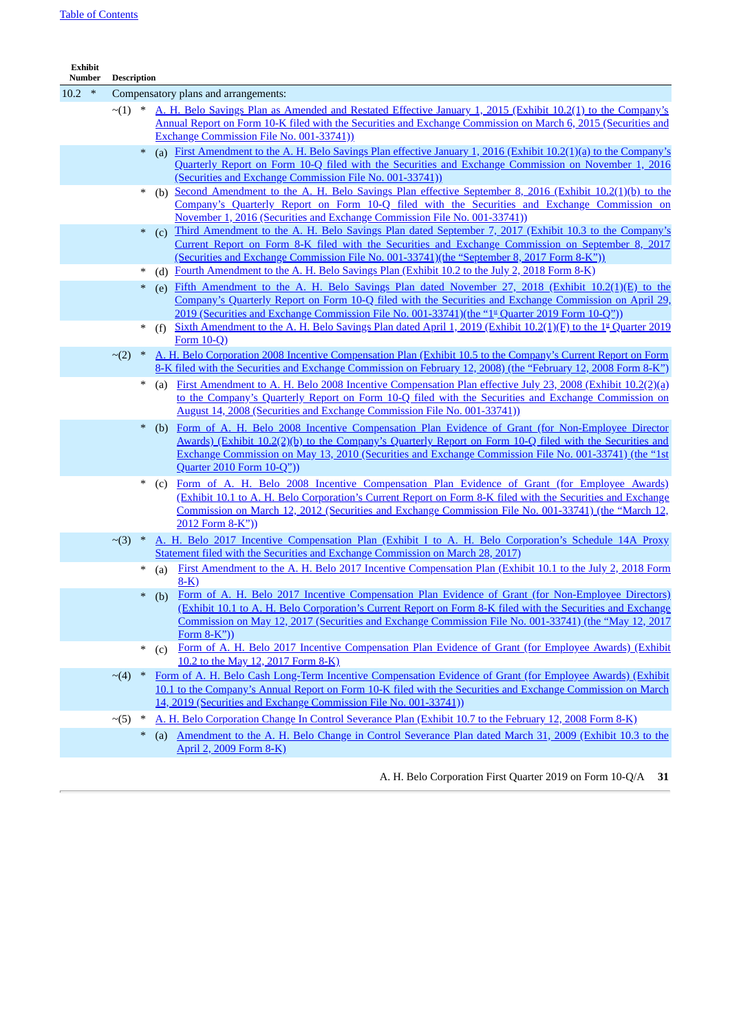| Exhibit<br>Number | <b>Description</b> |        |                                                                                                                                                                                                                                                                                                                                                        |
|-------------------|--------------------|--------|--------------------------------------------------------------------------------------------------------------------------------------------------------------------------------------------------------------------------------------------------------------------------------------------------------------------------------------------------------|
| $10.2$ *          |                    |        | Compensatory plans and arrangements:                                                                                                                                                                                                                                                                                                                   |
|                   | $\sim$ (1) *       |        | A. H. Belo Savings Plan as Amended and Restated Effective January 1, 2015 (Exhibit 10.2(1) to the Company's<br>Annual Report on Form 10-K filed with the Securities and Exchange Commission on March 6, 2015 (Securities and                                                                                                                           |
|                   |                    |        | <b>Exchange Commission File No. 001-33741)</b>                                                                                                                                                                                                                                                                                                         |
|                   |                    | $\ast$ | (a) First Amendment to the A. H. Belo Savings Plan effective January 1, 2016 (Exhibit 10.2(1)(a) to the Company's<br>Quarterly Report on Form 10-Q filed with the Securities and Exchange Commission on November 1, 2016<br>(Securities and Exchange Commission File No. 001-33741))                                                                   |
|                   |                    | $\ast$ | (b) Second Amendment to the A. H. Belo Savings Plan effective September 8, 2016 (Exhibit 10.2(1)(b) to the                                                                                                                                                                                                                                             |
|                   |                    |        | Company's Quarterly Report on Form 10-Q filed with the Securities and Exchange Commission on<br>November 1, 2016 (Securities and Exchange Commission File No. 001-33741))                                                                                                                                                                              |
|                   |                    |        | Third Amendment to the A. H. Belo Savings Plan dated September 7, 2017 (Exhibit 10.3 to the Company's<br>(c)<br>Current Report on Form 8-K filed with the Securities and Exchange Commission on September 8, 2017<br>(Securities and Exchange Commission File No. 001-33741)(the "September 8, 2017 Form 8-K"))                                        |
|                   |                    |        | (d) Fourth Amendment to the A. H. Belo Savings Plan (Exhibit 10.2 to the July 2, 2018 Form 8-K).                                                                                                                                                                                                                                                       |
|                   |                    | $\ast$ | (e) Fifth Amendment to the A. H. Belo Savings Plan dated November 27, 2018 (Exhibit 10.2(1)(E) to the<br>Company's Quarterly Report on Form 10-Q filed with the Securities and Exchange Commission on April 29,                                                                                                                                        |
|                   |                    |        | 2019 (Securities and Exchange Commission File No. 001-33741)(the "1 <sup>st</sup> Quarter 2019 Form 10-Q")).<br>Sixth Amendment to the A. H. Belo Savings Plan dated April 1, 2019 (Exhibit 10.2(1)(F) to the 1 <sup>st</sup> Quarter 2019<br>(f)                                                                                                      |
|                   |                    |        | Form $10-Q$ )                                                                                                                                                                                                                                                                                                                                          |
|                   | $\sim$ (2)         | $*$    | A. H. Belo Corporation 2008 Incentive Compensation Plan (Exhibit 10.5 to the Company's Current Report on Form<br>8-K filed with the Securities and Exchange Commission on February 12, 2008) (the "February 12, 2008 Form 8-K")                                                                                                                        |
|                   |                    | $\ast$ | First Amendment to A. H. Belo 2008 Incentive Compensation Plan effective July 23, 2008 (Exhibit 10.2(2)(a)<br>(a)<br>to the Company's Quarterly Report on Form 10-Q filed with the Securities and Exchange Commission on<br>August 14, 2008 (Securities and Exchange Commission File No. 001-33741))                                                   |
|                   |                    | $\ast$ | (b) Form of A. H. Belo 2008 Incentive Compensation Plan Evidence of Grant (for Non-Employee Director<br>Awards) (Exhibit 10.2(2)(b) to the Company's Quarterly Report on Form 10-Q filed with the Securities and<br>Exchange Commission on May 13, 2010 (Securities and Exchange Commission File No. 001-33741) (the "1st<br>Quarter 2010 Form 10-Q")) |
|                   |                    | $\ast$ | Form of A. H. Belo 2008 Incentive Compensation Plan Evidence of Grant (for Employee Awards)<br>(C)<br>(Exhibit 10.1 to A. H. Belo Corporation's Current Report on Form 8-K filed with the Securities and Exchange<br>Commission on March 12, 2012 (Securities and Exchange Commission File No. 001-33741) (the "March 12,<br>2012 Form 8-K"))          |
|                   | $\sim$ (3) *       |        | A. H. Belo 2017 Incentive Compensation Plan (Exhibit I to A. H. Belo Corporation's Schedule 14A Proxy<br>Statement filed with the Securities and Exchange Commission on March 28, 2017).                                                                                                                                                               |
|                   |                    | $\ast$ | First Amendment to the A. H. Belo 2017 Incentive Compensation Plan (Exhibit 10.1 to the July 2, 2018 Form<br>(a)<br><u>8-K)</u>                                                                                                                                                                                                                        |
|                   |                    |        | Form of A. H. Belo 2017 Incentive Compensation Plan Evidence of Grant (for Non-Employee Directors)<br>(b)<br>(Exhibit 10.1 to A. H. Belo Corporation's Current Report on Form 8-K filed with the Securities and Exchange<br>Commission on May 12, 2017 (Securities and Exchange Commission File No. 001-33741) (the "May 12, 2017<br>Form $8-K$ "))    |
|                   |                    | $\ast$ | Form of A. H. Belo 2017 Incentive Compensation Plan Evidence of Grant (for Employee Awards) (Exhibit<br>(c)<br>10.2 to the May 12, 2017 Form 8-K)                                                                                                                                                                                                      |
|                   | $\sim$ (4)         | $\ast$ | Form of A. H. Belo Cash Long-Term Incentive Compensation Evidence of Grant (for Employee Awards) (Exhibit                                                                                                                                                                                                                                              |
|                   |                    |        | 10.1 to the Company's Annual Report on Form 10-K filed with the Securities and Exchange Commission on March                                                                                                                                                                                                                                            |
|                   |                    |        | 14, 2019 (Securities and Exchange Commission File No. 001-33741))                                                                                                                                                                                                                                                                                      |
|                   | $\sim$ (5)         | $\ast$ | A. H. Belo Corporation Change In Control Severance Plan (Exhibit 10.7 to the February 12, 2008 Form 8-K).                                                                                                                                                                                                                                              |
|                   |                    | $\ast$ | Amendment to the A. H. Belo Change in Control Severance Plan dated March 31, 2009 (Exhibit 10.3 to the<br>(a)<br>April 2, 2009 Form 8-K)                                                                                                                                                                                                               |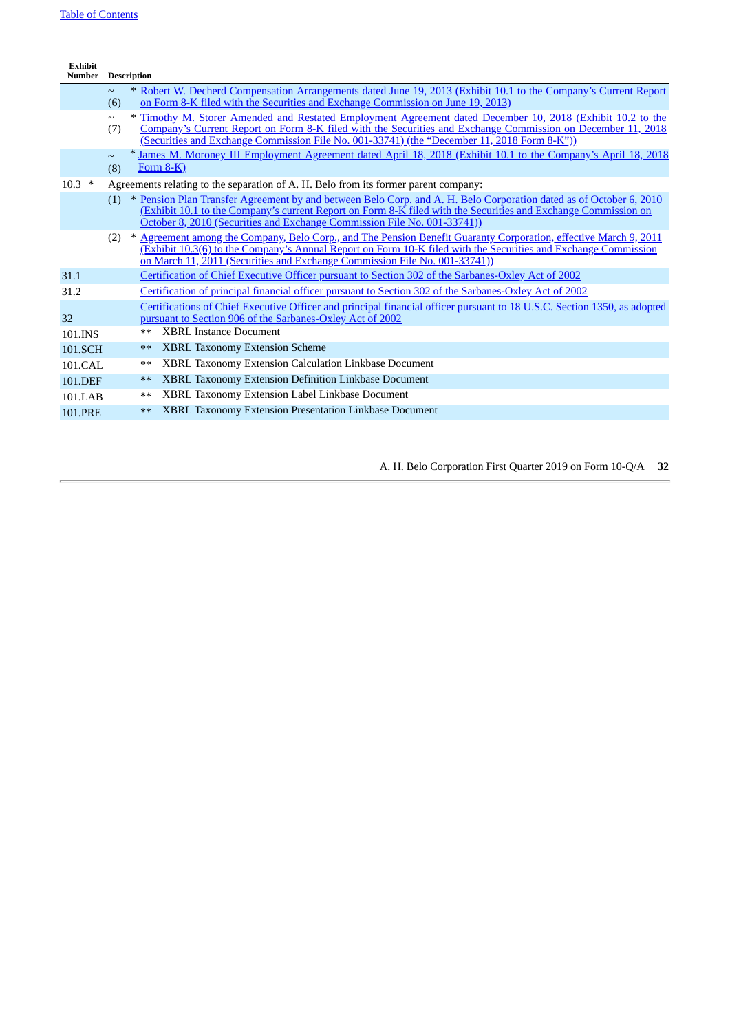| <b>Exhibit</b><br><b>Number</b> |               | <b>Description</b> |                                                                                                                                                                                                                                                                                                                          |
|---------------------------------|---------------|--------------------|--------------------------------------------------------------------------------------------------------------------------------------------------------------------------------------------------------------------------------------------------------------------------------------------------------------------------|
|                                 | $\sim$<br>(6) |                    | * Robert W. Decherd Compensation Arrangements dated June 19, 2013 (Exhibit 10.1 to the Company's Current Report<br>on Form 8-K filed with the Securities and Exchange Commission on June 19, 2013)                                                                                                                       |
|                                 | $\sim$<br>(7) |                    | * Timothy M. Storer Amended and Restated Employment Agreement dated December 10, 2018 (Exhibit 10.2 to the<br>Company's Current Report on Form 8-K filed with the Securities and Exchange Commission on December 11, 2018<br>(Securities and Exchange Commission File No. 001-33741) (the "December 11, 2018 Form 8-K")) |
|                                 | $\sim$<br>(8) |                    | James M. Moroney III Employment Agreement dated April 18, 2018 (Exhibit 10.1 to the Company's April 18, 2018<br>Form $8-K$ )                                                                                                                                                                                             |
| $10.3$ *                        |               |                    | Agreements relating to the separation of A. H. Belo from its former parent company:                                                                                                                                                                                                                                      |
|                                 | (1)           |                    | * Pension Plan Transfer Agreement by and between Belo Corp. and A. H. Belo Corporation dated as of October 6, 2010<br>(Exhibit 10.1 to the Company's current Report on Form 8-K filed with the Securities and Exchange Commission on<br>October 8, 2010 (Securities and Exchange Commission File No. 001-33741))         |
|                                 |               |                    | (2) * Agreement among the Company, Belo Corp., and The Pension Benefit Guaranty Corporation, effective March 9, 2011<br>(Exhibit 10.3(6) to the Company's Annual Report on Form 10-K filed with the Securities and Exchange Commission<br>on March 11, 2011 (Securities and Exchange Commission File No. 001-33741))     |
| 31.1                            |               |                    | <b>Certification of Chief Executive Officer pursuant to Section 302 of the Sarbanes-Oxley Act of 2002</b>                                                                                                                                                                                                                |
| 31.2                            |               |                    | Certification of principal financial officer pursuant to Section 302 of the Sarbanes-Oxley Act of 2002                                                                                                                                                                                                                   |
| 32                              |               |                    | Certifications of Chief Executive Officer and principal financial officer pursuant to 18 U.S.C. Section 1350, as adopted<br>pursuant to Section 906 of the Sarbanes-Oxley Act of 2002                                                                                                                                    |
| 101.INS                         |               | $**$               | <b>XBRL Instance Document</b>                                                                                                                                                                                                                                                                                            |
| 101.SCH                         |               | $**$               | <b>XBRL Taxonomy Extension Scheme</b>                                                                                                                                                                                                                                                                                    |
| 101.CAL                         |               | $**$               | XBRL Taxonomy Extension Calculation Linkbase Document                                                                                                                                                                                                                                                                    |
| 101.DEF                         |               | $**$               | <b>XBRL Taxonomy Extension Definition Linkbase Document</b>                                                                                                                                                                                                                                                              |
| 101.LAB                         |               | $**$               | XBRL Taxonomy Extension Label Linkbase Document                                                                                                                                                                                                                                                                          |
| <b>101.PRE</b>                  |               | $**$               | <b>XBRL Taxonomy Extension Presentation Linkbase Document</b>                                                                                                                                                                                                                                                            |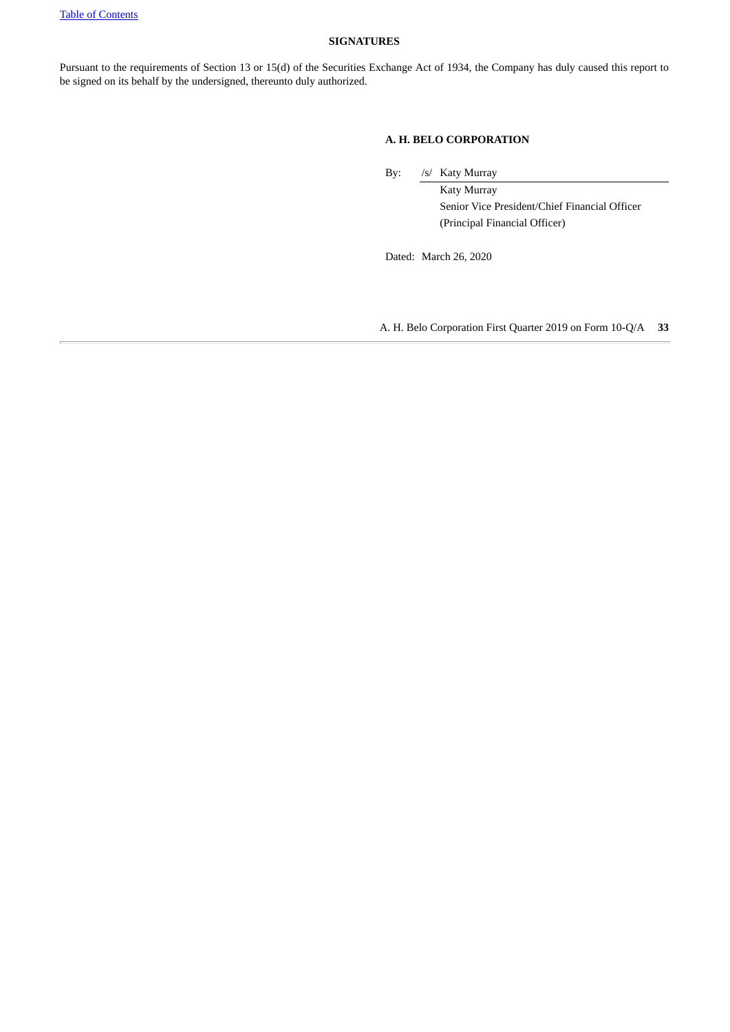#### <span id="page-32-0"></span>**SIGNATURES**

Pursuant to the requirements of Section 13 or 15(d) of the Securities Exchange Act of 1934, the Company has duly caused this report to be signed on its behalf by the undersigned, thereunto duly authorized.

#### **A. H. BELO CORPORATION**

By: /s/ Katy Murray

Katy Murray Senior Vice President/Chief Financial Officer (Principal Financial Officer)

Dated: March 26, 2020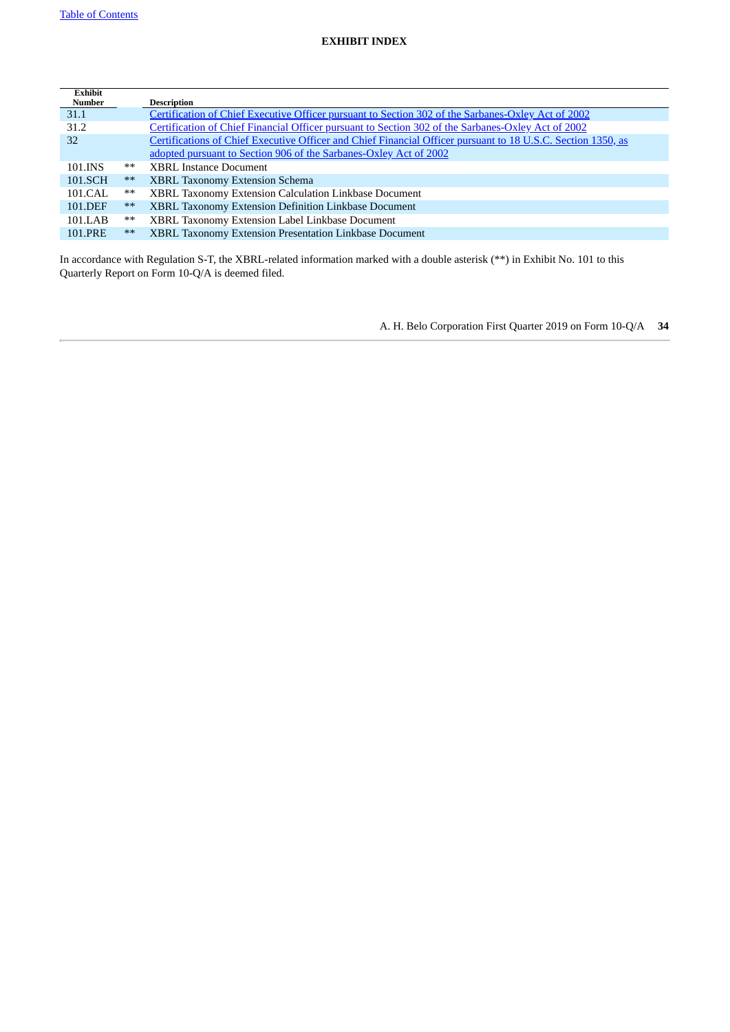<span id="page-33-0"></span>

|       | <b>Description</b>                                                                                           |
|-------|--------------------------------------------------------------------------------------------------------------|
|       | Certification of Chief Executive Officer pursuant to Section 302 of the Sarbanes-Oxley Act of 2002           |
|       | Certification of Chief Financial Officer pursuant to Section 302 of the Sarbanes-Oxley Act of 2002           |
|       | Certifications of Chief Executive Officer and Chief Financial Officer pursuant to 18 U.S.C. Section 1350, as |
|       | adopted pursuant to Section 906 of the Sarbanes-Oxley Act of 2002                                            |
| **    | <b>XBRL Instance Document</b>                                                                                |
| $***$ | <b>XBRL Taxonomy Extension Schema</b>                                                                        |
| $***$ | XBRL Taxonomy Extension Calculation Linkbase Document                                                        |
| $***$ | XBRL Taxonomy Extension Definition Linkbase Document                                                         |
| $***$ | XBRL Taxonomy Extension Label Linkbase Document                                                              |
| $***$ | XBRL Taxonomy Extension Presentation Linkbase Document                                                       |
|       |                                                                                                              |

In accordance with Regulation S-T, the XBRL-related information marked with a double asterisk (\*\*) in Exhibit No. 101 to this Quarterly Report on Form 10-Q/A is deemed filed.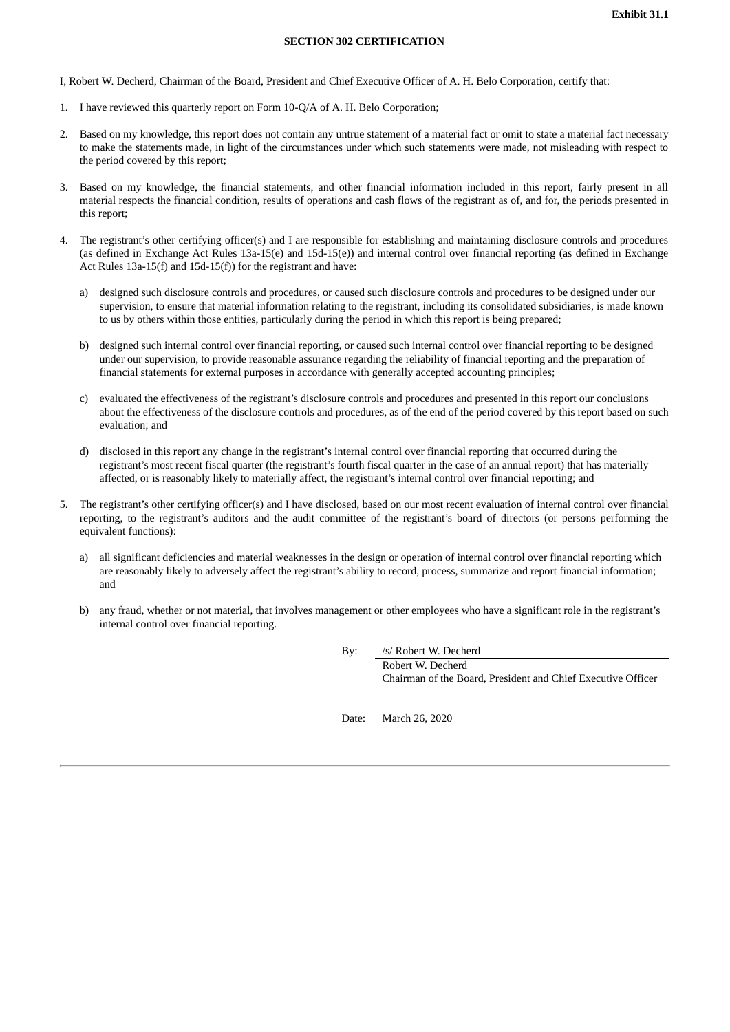#### **SECTION 302 CERTIFICATION**

<span id="page-34-0"></span>I, Robert W. Decherd, Chairman of the Board, President and Chief Executive Officer of A. H. Belo Corporation, certify that:

- 1. I have reviewed this quarterly report on Form 10-Q/A of A. H. Belo Corporation;
- 2. Based on my knowledge, this report does not contain any untrue statement of a material fact or omit to state a material fact necessary to make the statements made, in light of the circumstances under which such statements were made, not misleading with respect to the period covered by this report;
- 3. Based on my knowledge, the financial statements, and other financial information included in this report, fairly present in all material respects the financial condition, results of operations and cash flows of the registrant as of, and for, the periods presented in this report;
- 4. The registrant's other certifying officer(s) and I are responsible for establishing and maintaining disclosure controls and procedures (as defined in Exchange Act Rules 13a-15(e) and 15d-15(e)) and internal control over financial reporting (as defined in Exchange Act Rules 13a-15(f) and 15d-15(f)) for the registrant and have:
	- a) designed such disclosure controls and procedures, or caused such disclosure controls and procedures to be designed under our supervision, to ensure that material information relating to the registrant, including its consolidated subsidiaries, is made known to us by others within those entities, particularly during the period in which this report is being prepared;
	- b) designed such internal control over financial reporting, or caused such internal control over financial reporting to be designed under our supervision, to provide reasonable assurance regarding the reliability of financial reporting and the preparation of financial statements for external purposes in accordance with generally accepted accounting principles;
	- c) evaluated the effectiveness of the registrant's disclosure controls and procedures and presented in this report our conclusions about the effectiveness of the disclosure controls and procedures, as of the end of the period covered by this report based on such evaluation; and
	- d) disclosed in this report any change in the registrant's internal control over financial reporting that occurred during the registrant's most recent fiscal quarter (the registrant's fourth fiscal quarter in the case of an annual report) that has materially affected, or is reasonably likely to materially affect, the registrant's internal control over financial reporting; and
- 5. The registrant's other certifying officer(s) and I have disclosed, based on our most recent evaluation of internal control over financial reporting, to the registrant's auditors and the audit committee of the registrant's board of directors (or persons performing the equivalent functions):
	- a) all significant deficiencies and material weaknesses in the design or operation of internal control over financial reporting which are reasonably likely to adversely affect the registrant's ability to record, process, summarize and report financial information; and
	- b) any fraud, whether or not material, that involves management or other employees who have a significant role in the registrant's internal control over financial reporting.

By: /s/ Robert W. Decherd

Robert W. Decherd Chairman of the Board, President and Chief Executive Officer

Date: March 26, 2020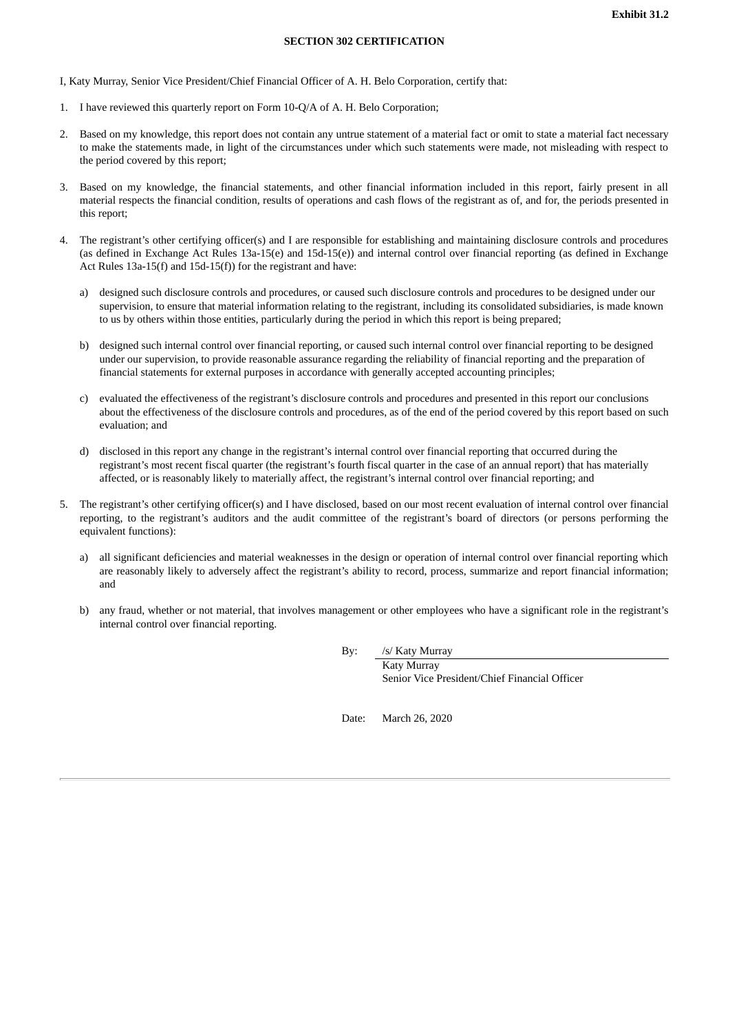#### **SECTION 302 CERTIFICATION**

<span id="page-35-0"></span>I, Katy Murray, Senior Vice President/Chief Financial Officer of A. H. Belo Corporation, certify that:

- 1. I have reviewed this quarterly report on Form 10-Q/A of A. H. Belo Corporation;
- 2. Based on my knowledge, this report does not contain any untrue statement of a material fact or omit to state a material fact necessary to make the statements made, in light of the circumstances under which such statements were made, not misleading with respect to the period covered by this report;
- 3. Based on my knowledge, the financial statements, and other financial information included in this report, fairly present in all material respects the financial condition, results of operations and cash flows of the registrant as of, and for, the periods presented in this report;
- 4. The registrant's other certifying officer(s) and I are responsible for establishing and maintaining disclosure controls and procedures (as defined in Exchange Act Rules 13a-15(e) and 15d-15(e)) and internal control over financial reporting (as defined in Exchange Act Rules 13a-15(f) and 15d-15(f)) for the registrant and have:
	- a) designed such disclosure controls and procedures, or caused such disclosure controls and procedures to be designed under our supervision, to ensure that material information relating to the registrant, including its consolidated subsidiaries, is made known to us by others within those entities, particularly during the period in which this report is being prepared;
	- b) designed such internal control over financial reporting, or caused such internal control over financial reporting to be designed under our supervision, to provide reasonable assurance regarding the reliability of financial reporting and the preparation of financial statements for external purposes in accordance with generally accepted accounting principles;
	- c) evaluated the effectiveness of the registrant's disclosure controls and procedures and presented in this report our conclusions about the effectiveness of the disclosure controls and procedures, as of the end of the period covered by this report based on such evaluation; and
	- d) disclosed in this report any change in the registrant's internal control over financial reporting that occurred during the registrant's most recent fiscal quarter (the registrant's fourth fiscal quarter in the case of an annual report) that has materially affected, or is reasonably likely to materially affect, the registrant's internal control over financial reporting; and
- 5. The registrant's other certifying officer(s) and I have disclosed, based on our most recent evaluation of internal control over financial reporting, to the registrant's auditors and the audit committee of the registrant's board of directors (or persons performing the equivalent functions):
	- a) all significant deficiencies and material weaknesses in the design or operation of internal control over financial reporting which are reasonably likely to adversely affect the registrant's ability to record, process, summarize and report financial information; and
	- b) any fraud, whether or not material, that involves management or other employees who have a significant role in the registrant's internal control over financial reporting.

By: /s/ Katy Murray

Katy Murray Senior Vice President/Chief Financial Officer

Date: March 26, 2020